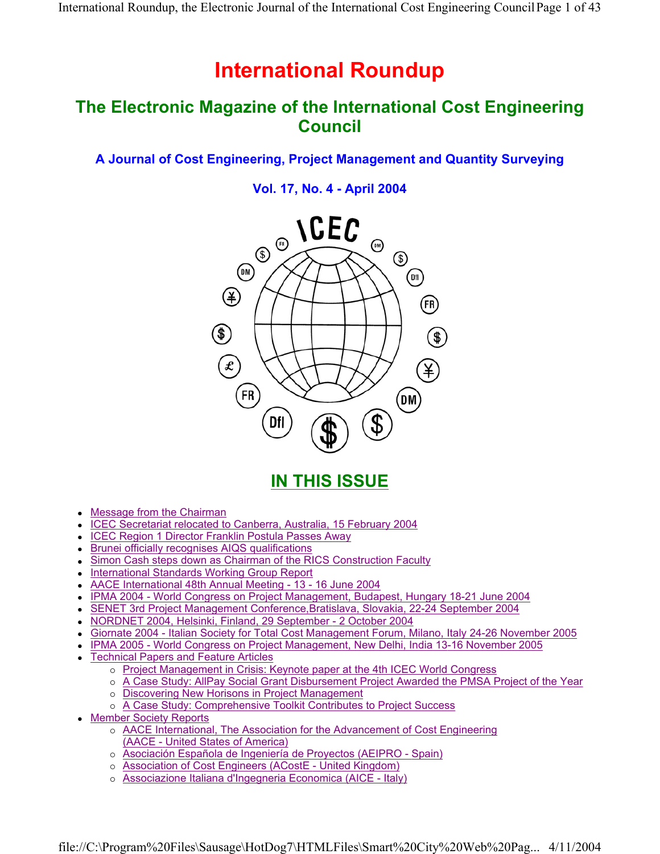# **International Roundup**

## **The Electronic Magazine of the International Cost Engineering Council**

**A Journal of Cost Engineering, Project Management and Quantity Surveying** 

**Vol. 17, No. 4 - April 2004** 



## **IN THIS ISSUE**

- Message from the Chairman
- ICEC Secretariat relocated to Canberra, Australia, 15 February 2004
- ICEC Region 1 Director Franklin Postula Passes Away
- Brunei officially recognises AIQS qualifications
- Simon Cash steps down as Chairman of the RICS Construction Faculty
- International Standards Working Group Report
- AACE International 48th Annual Meeting 13 16 June 2004
- IPMA 2004 World Congress on Project Management, Budapest, Hungary 18-21 June 2004
- SENET 3rd Project Management Conference, Bratislava, Slovakia, 22-24 September 2004
- <sup>z</sup> NORDNET 2004, Helsinki, Finland, 29 September 2 October 2004
- Giornate 2004 Italian Society for Total Cost Management Forum, Milano, Italy 24-26 November 2005
- IPMA 2005 World Congress on Project Management, New Delhi, India 13-16 November 2005
- Technical Papers and Feature Articles
	- o Project Management in Crisis: Keynote paper at the 4th ICEC World Congress
	- o A Case Study: AllPay Social Grant Disbursement Project Awarded the PMSA Project of the Year
	- o Discovering New Horisons in Project Management
	- o A Case Study: Comprehensive Toolkit Contributes to Project Success
- Member Society Reports
	- o AACE International, The Association for the Advancement of Cost Engineering (AACE - United States of America)
	- { Asociación Española de Ingeniería de Proyectos (AEIPRO Spain)
	- o Association of Cost Engineers (ACostE United Kingdom)
	- { Associazione Italiana d'Ingegneria Economica (AICE Italy)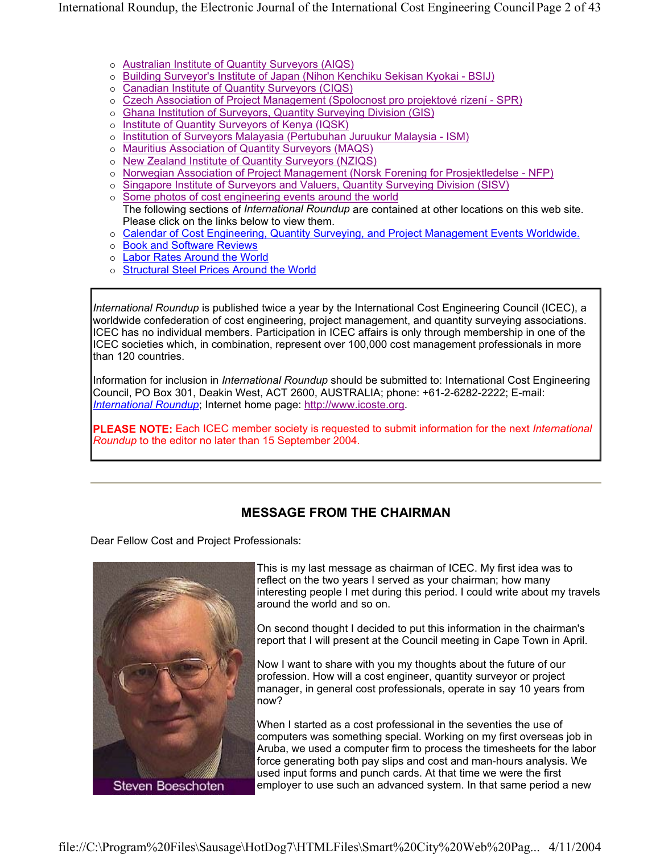International Roundup, the Electronic Journal of the International Cost Engineering CouncilPage 2 of 43

- { Australian Institute of Quantity Surveyors (AIQS)
- { Building Surveyor's Institute of Japan (Nihon Kenchiku Sekisan Kyokai BSIJ)
- o Canadian Institute of Quantity Surveyors (CIQS)
- { Czech Association of Project Management (Spolocnost pro projektové rízení SPR)
- o Ghana Institution of Surveyors, Quantity Surveying Division (GIS)
- o Institute of Quantity Surveyors of Kenya (IQSK)
- o Institution of Surveyors Malayasia (Pertubuhan Juruukur Malaysia ISM)
- o Mauritius Association of Quantity Surveyors (MAQS)
- { New Zealand Institute of Quantity Surveyors (NZIQS)
- { Norwegian Association of Project Management (Norsk Forening for Prosjektledelse NFP)
- { Singapore Institute of Surveyors and Valuers, Quantity Surveying Division (SISV)
- o Some photos of cost engineering events around the world The following sections of *International Roundup* are contained at other locations on this web site. Please click on the links below to view them.
- $\circ$  Calendar of Cost Engineering, Quantity Surveying, and Project Management Events Worldwide.
- o Book and Software Reviews
- o Labor Rates Around the World
- o Structural Steel Prices Around the World

*International Roundup* is published twice a year by the International Cost Engineering Council (ICEC), a worldwide confederation of cost engineering, project management, and quantity surveying associations. ICEC has no individual members. Participation in ICEC affairs is only through membership in one of the ICEC societies which, in combination, represent over 100,000 cost management professionals in more than 120 countries.

Information for inclusion in *International Roundup* should be submitted to: International Cost Engineering Council, PO Box 301, Deakin West, ACT 2600, AUSTRALIA; phone: +61-2-6282-2222; E-mail: *International Roundup*; Internet home page: http://www.icoste.org.

**PLEASE NOTE:** Each ICEC member society is requested to submit information for the next *International Roundup* to the editor no later than 15 September 2004.

#### **MESSAGE FROM THE CHAIRMAN**

Dear Fellow Cost and Project Professionals:



This is my last message as chairman of ICEC. My first idea was to reflect on the two years I served as your chairman; how many interesting people I met during this period. I could write about my travels around the world and so on.

On second thought I decided to put this information in the chairman's report that I will present at the Council meeting in Cape Town in April.

Now I want to share with you my thoughts about the future of our profession. How will a cost engineer, quantity surveyor or project manager, in general cost professionals, operate in say 10 years from now?

When I started as a cost professional in the seventies the use of computers was something special. Working on my first overseas job in Aruba, we used a computer firm to process the timesheets for the labor force generating both pay slips and cost and man-hours analysis. We used input forms and punch cards. At that time we were the first employer to use such an advanced system. In that same period a new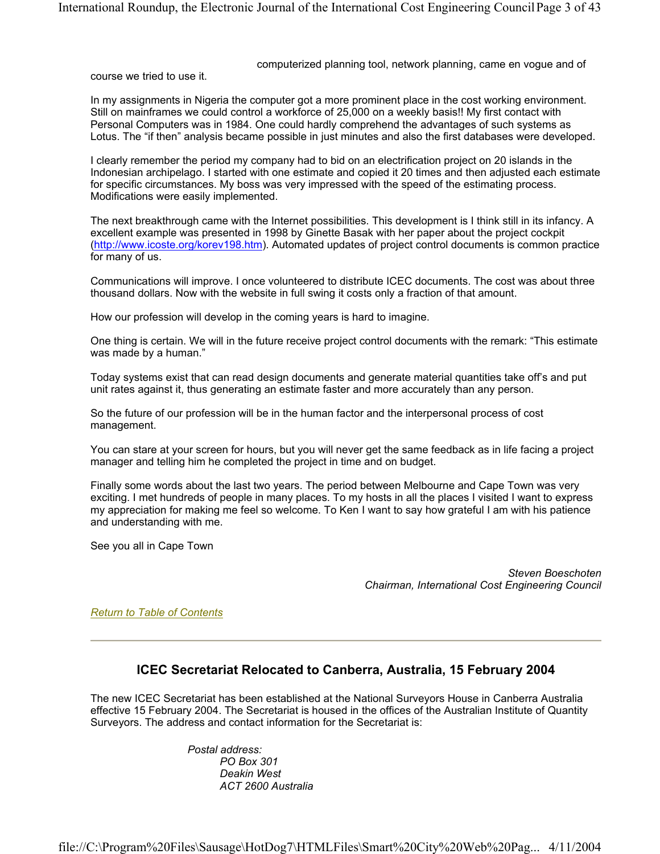computerized planning tool, network planning, came en vogue and of

course we tried to use it.

In my assignments in Nigeria the computer got a more prominent place in the cost working environment. Still on mainframes we could control a workforce of 25,000 on a weekly basis!! My first contact with Personal Computers was in 1984. One could hardly comprehend the advantages of such systems as Lotus. The "if then" analysis became possible in just minutes and also the first databases were developed.

I clearly remember the period my company had to bid on an electrification project on 20 islands in the Indonesian archipelago. I started with one estimate and copied it 20 times and then adjusted each estimate for specific circumstances. My boss was very impressed with the speed of the estimating process. Modifications were easily implemented.

The next breakthrough came with the Internet possibilities. This development is I think still in its infancy. A excellent example was presented in 1998 by Ginette Basak with her paper about the project cockpit (http://www.icoste.org/korev198.htm). Automated updates of project control documents is common practice for many of us.

Communications will improve. I once volunteered to distribute ICEC documents. The cost was about three thousand dollars. Now with the website in full swing it costs only a fraction of that amount.

How our profession will develop in the coming years is hard to imagine.

One thing is certain. We will in the future receive project control documents with the remark: "This estimate was made by a human."

Today systems exist that can read design documents and generate material quantities take off's and put unit rates against it, thus generating an estimate faster and more accurately than any person.

So the future of our profession will be in the human factor and the interpersonal process of cost management.

You can stare at your screen for hours, but you will never get the same feedback as in life facing a project manager and telling him he completed the project in time and on budget.

Finally some words about the last two years. The period between Melbourne and Cape Town was very exciting. I met hundreds of people in many places. To my hosts in all the places I visited I want to express my appreciation for making me feel so welcome. To Ken I want to say how grateful I am with his patience and understanding with me.

See you all in Cape Town

*Steven Boeschoten Chairman, International Cost Engineering Council*

*Return to Table of Contents*

#### **ICEC Secretariat Relocated to Canberra, Australia, 15 February 2004**

The new ICEC Secretariat has been established at the National Surveyors House in Canberra Australia effective 15 February 2004. The Secretariat is housed in the offices of the Australian Institute of Quantity Surveyors. The address and contact information for the Secretariat is:

> *Postal address: PO Box 301 Deakin West ACT 2600 Australia*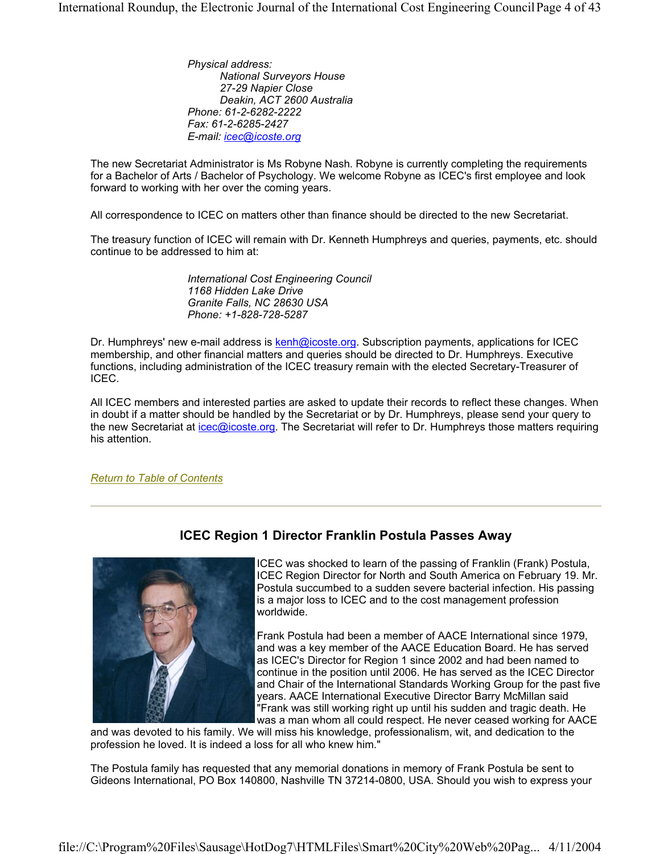*Physical address: National Surveyors House 27-29 Napier Close Deakin, ACT 2600 Australia Phone: 61-2-6282-2222 Fax: 61-2-6285-2427 E-mail: icec@icoste.org*

The new Secretariat Administrator is Ms Robyne Nash. Robyne is currently completing the requirements for a Bachelor of Arts / Bachelor of Psychology. We welcome Robyne as ICEC's first employee and look forward to working with her over the coming years.

All correspondence to ICEC on matters other than finance should be directed to the new Secretariat.

The treasury function of ICEC will remain with Dr. Kenneth Humphreys and queries, payments, etc. should continue to be addressed to him at:

> *International Cost Engineering Council 1168 Hidden Lake Drive Granite Falls, NC 28630 USA Phone: +1-828-728-5287*

Dr. Humphreys' new e-mail address is kenh@icoste.org. Subscription payments, applications for ICEC membership, and other financial matters and queries should be directed to Dr. Humphreys. Executive functions, including administration of the ICEC treasury remain with the elected Secretary-Treasurer of ICEC.

All ICEC members and interested parties are asked to update their records to reflect these changes. When in doubt if a matter should be handled by the Secretariat or by Dr. Humphreys, please send your query to the new Secretariat at icec@icoste.org. The Secretariat will refer to Dr. Humphreys those matters requiring his attention.

*Return to Table of Contents*



#### **ICEC Region 1 Director Franklin Postula Passes Away**

ICEC was shocked to learn of the passing of Franklin (Frank) Postula, ICEC Region Director for North and South America on February 19. Mr. Postula succumbed to a sudden severe bacterial infection. His passing is a major loss to ICEC and to the cost management profession worldwide.

Frank Postula had been a member of AACE International since 1979, and was a key member of the AACE Education Board. He has served as ICEC's Director for Region 1 since 2002 and had been named to continue in the position until 2006. He has served as the ICEC Director and Chair of the International Standards Working Group for the past five years. AACE International Executive Director Barry McMillan said "Frank was still working right up until his sudden and tragic death. He was a man whom all could respect. He never ceased working for AACE

and was devoted to his family. We will miss his knowledge, professionalism, wit, and dedication to the profession he loved. It is indeed a loss for all who knew him."

The Postula family has requested that any memorial donations in memory of Frank Postula be sent to Gideons International, PO Box 140800, Nashville TN 37214-0800, USA. Should you wish to express your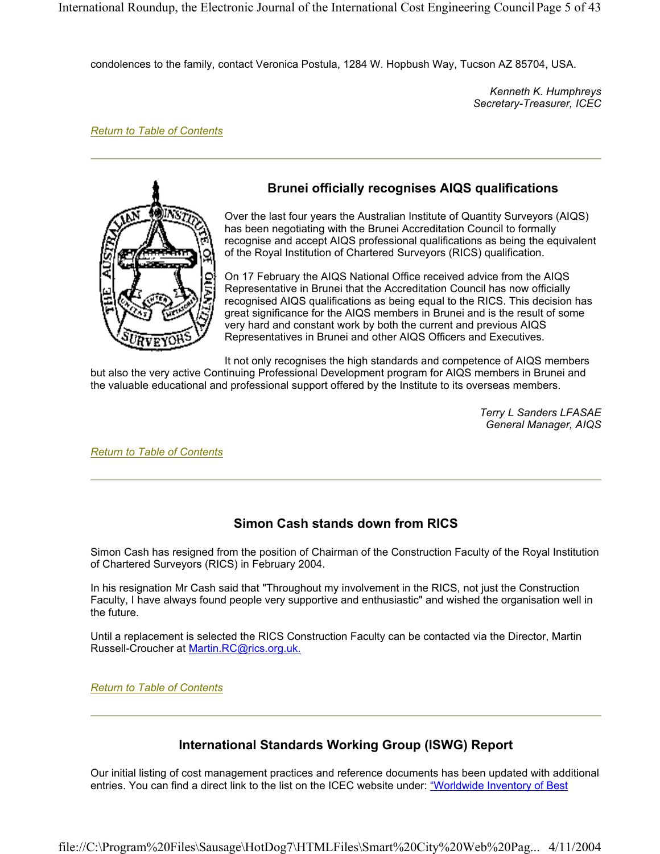International Roundup, the Electronic Journal of the International Cost Engineering CouncilPage 5 of 43

condolences to the family, contact Veronica Postula, 1284 W. Hopbush Way, Tucson AZ 85704, USA.

*Kenneth K. Humphreys Secretary-Treasurer, ICEC*

*Return to Table of Contents*



#### **Brunei officially recognises AIQS qualifications**

Over the last four years the Australian Institute of Quantity Surveyors (AIQS) has been negotiating with the Brunei Accreditation Council to formally recognise and accept AIQS professional qualifications as being the equivalent of the Royal Institution of Chartered Surveyors (RICS) qualification.

On 17 February the AIQS National Office received advice from the AIQS Representative in Brunei that the Accreditation Council has now officially recognised AIQS qualifications as being equal to the RICS. This decision has great significance for the AIQS members in Brunei and is the result of some very hard and constant work by both the current and previous AIQS Representatives in Brunei and other AIQS Officers and Executives.

It not only recognises the high standards and competence of AIQS members but also the very active Continuing Professional Development program for AIQS members in Brunei and the valuable educational and professional support offered by the Institute to its overseas members.

> *Terry L Sanders LFASAE General Manager, AIQS*

*Return to Table of Contents*

#### **Simon Cash stands down from RICS**

Simon Cash has resigned from the position of Chairman of the Construction Faculty of the Royal Institution of Chartered Surveyors (RICS) in February 2004.

In his resignation Mr Cash said that "Throughout my involvement in the RICS, not just the Construction Faculty, I have always found people very supportive and enthusiastic" and wished the organisation well in the future.

Until a replacement is selected the RICS Construction Faculty can be contacted via the Director, Martin Russell-Croucher at Martin.RC@rics.org.uk.

*Return to Table of Contents*

#### **International Standards Working Group (ISWG) Report**

Our initial listing of cost management practices and reference documents has been updated with additional entries. You can find a direct link to the list on the ICEC website under: "Worldwide Inventory of Best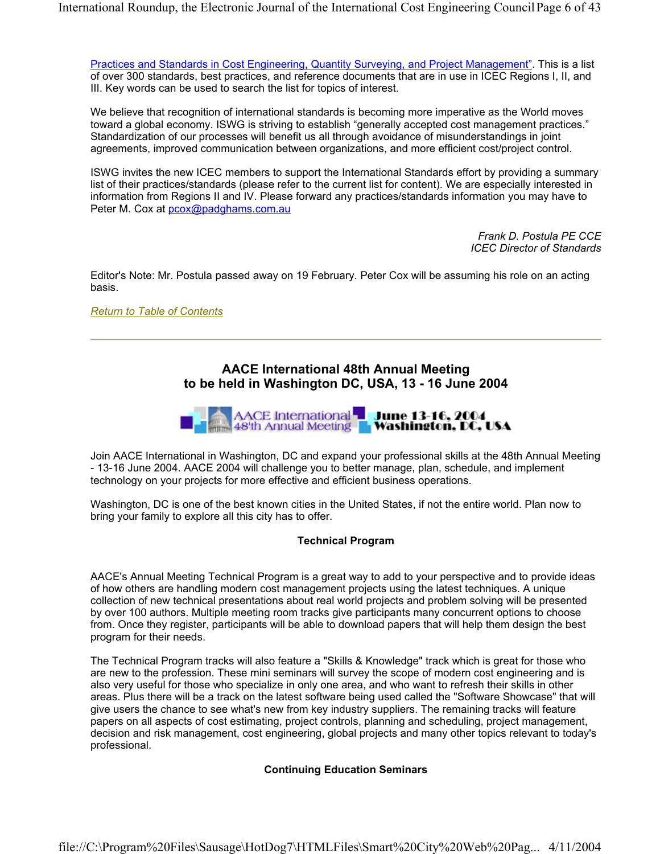Practices and Standards in Cost Engineering, Quantity Surveying, and Project Management". This is a list of over 300 standards, best practices, and reference documents that are in use in ICEC Regions I, II, and III. Key words can be used to search the list for topics of interest.

We believe that recognition of international standards is becoming more imperative as the World moves toward a global economy. ISWG is striving to establish "generally accepted cost management practices." Standardization of our processes will benefit us all through avoidance of misunderstandings in joint agreements, improved communication between organizations, and more efficient cost/project control.

ISWG invites the new ICEC members to support the International Standards effort by providing a summary list of their practices/standards (please refer to the current list for content). We are especially interested in information from Regions II and IV. Please forward any practices/standards information you may have to Peter M. Cox at pcox@padghams.com.au

> *Frank D. Postula PE CCE ICEC Director of Standards*

Editor's Note: Mr. Postula passed away on 19 February. Peter Cox will be assuming his role on an acting basis.

#### *Return to Table of Contents*

#### **AACE International 48th Annual Meeting to be held in Washington DC, USA, 13 - 16 June 2004**



Join AACE International in Washington, DC and expand your professional skills at the 48th Annual Meeting - 13-16 June 2004. AACE 2004 will challenge you to better manage, plan, schedule, and implement technology on your projects for more effective and efficient business operations.

Washington, DC is one of the best known cities in the United States, if not the entire world. Plan now to bring your family to explore all this city has to offer.

#### **Technical Program**

AACE's Annual Meeting Technical Program is a great way to add to your perspective and to provide ideas of how others are handling modern cost management projects using the latest techniques. A unique collection of new technical presentations about real world projects and problem solving will be presented by over 100 authors. Multiple meeting room tracks give participants many concurrent options to choose from. Once they register, participants will be able to download papers that will help them design the best program for their needs.

The Technical Program tracks will also feature a "Skills & Knowledge" track which is great for those who are new to the profession. These mini seminars will survey the scope of modern cost engineering and is also very useful for those who specialize in only one area, and who want to refresh their skills in other areas. Plus there will be a track on the latest software being used called the "Software Showcase" that will give users the chance to see what's new from key industry suppliers. The remaining tracks will feature papers on all aspects of cost estimating, project controls, planning and scheduling, project management, decision and risk management, cost engineering, global projects and many other topics relevant to today's professional.

#### **Continuing Education Seminars**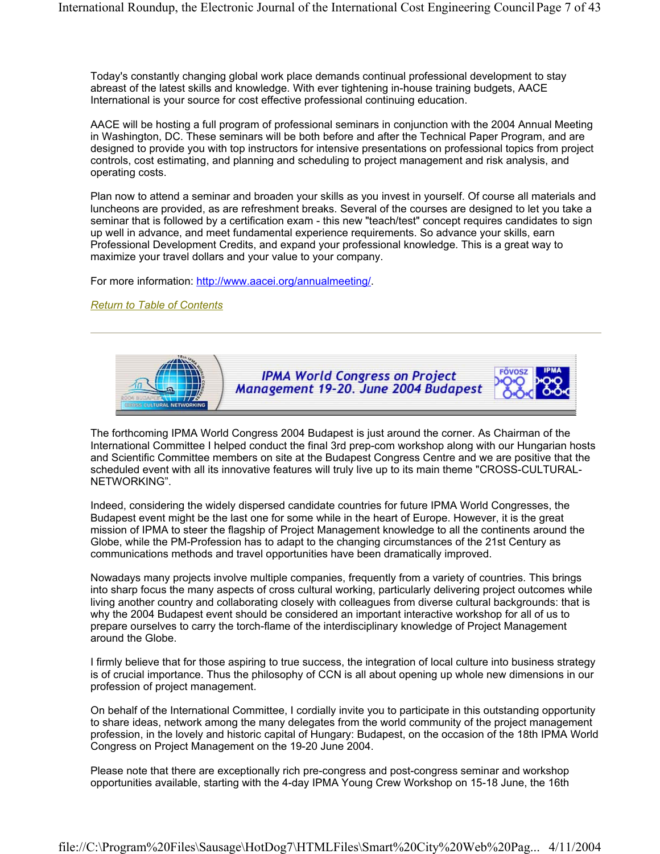Today's constantly changing global work place demands continual professional development to stay abreast of the latest skills and knowledge. With ever tightening in-house training budgets, AACE International is your source for cost effective professional continuing education.

AACE will be hosting a full program of professional seminars in conjunction with the 2004 Annual Meeting in Washington, DC. These seminars will be both before and after the Technical Paper Program, and are designed to provide you with top instructors for intensive presentations on professional topics from project controls, cost estimating, and planning and scheduling to project management and risk analysis, and operating costs.

Plan now to attend a seminar and broaden your skills as you invest in yourself. Of course all materials and luncheons are provided, as are refreshment breaks. Several of the courses are designed to let you take a seminar that is followed by a certification exam - this new "teach/test" concept requires candidates to sign up well in advance, and meet fundamental experience requirements. So advance your skills, earn Professional Development Credits, and expand your professional knowledge. This is a great way to maximize your travel dollars and your value to your company.

For more information: http://www.aacei.org/annualmeeting/.

*Return to Table of Contents*



The forthcoming IPMA World Congress 2004 Budapest is just around the corner. As Chairman of the International Committee I helped conduct the final 3rd prep-com workshop along with our Hungarian hosts and Scientific Committee members on site at the Budapest Congress Centre and we are positive that the scheduled event with all its innovative features will truly live up to its main theme "CROSS-CULTURAL-NETWORKING".

Indeed, considering the widely dispersed candidate countries for future IPMA World Congresses, the Budapest event might be the last one for some while in the heart of Europe. However, it is the great mission of IPMA to steer the flagship of Project Management knowledge to all the continents around the Globe, while the PM-Profession has to adapt to the changing circumstances of the 21st Century as communications methods and travel opportunities have been dramatically improved.

Nowadays many projects involve multiple companies, frequently from a variety of countries. This brings into sharp focus the many aspects of cross cultural working, particularly delivering project outcomes while living another country and collaborating closely with colleagues from diverse cultural backgrounds: that is why the 2004 Budapest event should be considered an important interactive workshop for all of us to prepare ourselves to carry the torch-flame of the interdisciplinary knowledge of Project Management around the Globe.

I firmly believe that for those aspiring to true success, the integration of local culture into business strategy is of crucial importance. Thus the philosophy of CCN is all about opening up whole new dimensions in our profession of project management.

On behalf of the International Committee, I cordially invite you to participate in this outstanding opportunity to share ideas, network among the many delegates from the world community of the project management profession, in the lovely and historic capital of Hungary: Budapest, on the occasion of the 18th IPMA World Congress on Project Management on the 19-20 June 2004.

Please note that there are exceptionally rich pre-congress and post-congress seminar and workshop opportunities available, starting with the 4-day IPMA Young Crew Workshop on 15-18 June, the 16th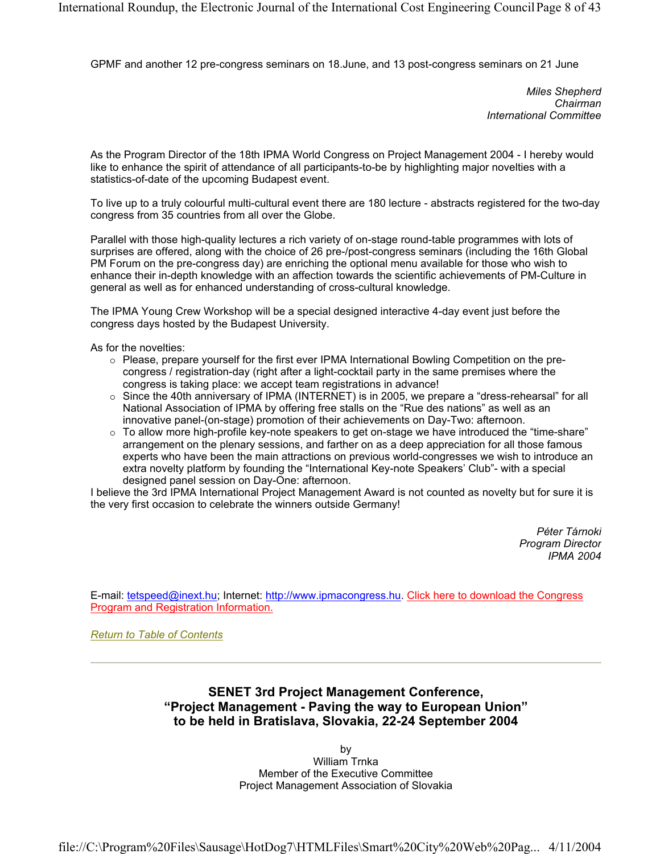GPMF and another 12 pre-congress seminars on 18.June, and 13 post-congress seminars on 21 June

*Miles Shepherd Chairman International Committee*

As the Program Director of the 18th IPMA World Congress on Project Management 2004 - I hereby would like to enhance the spirit of attendance of all participants-to-be by highlighting major novelties with a statistics-of-date of the upcoming Budapest event.

To live up to a truly colourful multi-cultural event there are 180 lecture - abstracts registered for the two-day congress from 35 countries from all over the Globe.

Parallel with those high-quality lectures a rich variety of on-stage round-table programmes with lots of surprises are offered, along with the choice of 26 pre-/post-congress seminars (including the 16th Global PM Forum on the pre-congress day) are enriching the optional menu available for those who wish to enhance their in-depth knowledge with an affection towards the scientific achievements of PM-Culture in general as well as for enhanced understanding of cross-cultural knowledge.

The IPMA Young Crew Workshop will be a special designed interactive 4-day event just before the congress days hosted by the Budapest University.

As for the novelties:

- $\circ$  Please, prepare yourself for the first ever IPMA International Bowling Competition on the precongress / registration-day (right after a light-cocktail party in the same premises where the congress is taking place: we accept team registrations in advance!
- $\circ$  Since the 40th anniversary of IPMA (INTERNET) is in 2005, we prepare a "dress-rehearsal" for all National Association of IPMA by offering free stalls on the "Rue des nations" as well as an innovative panel-(on-stage) promotion of their achievements on Day-Two: afternoon.
- $\circ$  To allow more high-profile key-note speakers to get on-stage we have introduced the "time-share" arrangement on the plenary sessions, and farther on as a deep appreciation for all those famous experts who have been the main attractions on previous world-congresses we wish to introduce an extra novelty platform by founding the "International Key-note Speakers' Club"- with a special designed panel session on Day-One: afternoon.

I believe the 3rd IPMA International Project Management Award is not counted as novelty but for sure it is the very first occasion to celebrate the winners outside Germany!

> *Péter Tárnoki Program Director IPMA 2004*

E-mail: tetspeed@inext.hu; Internet: http://www.ipmacongress.hu. Click here to download the Congress Program and Registration Information.

*Return to Table of Contents*

#### **SENET 3rd Project Management Conference, "Project Management - Paving the way to European Union" to be held in Bratislava, Slovakia, 22-24 September 2004**

by William Trnka Member of the Executive Committee Project Management Association of Slovakia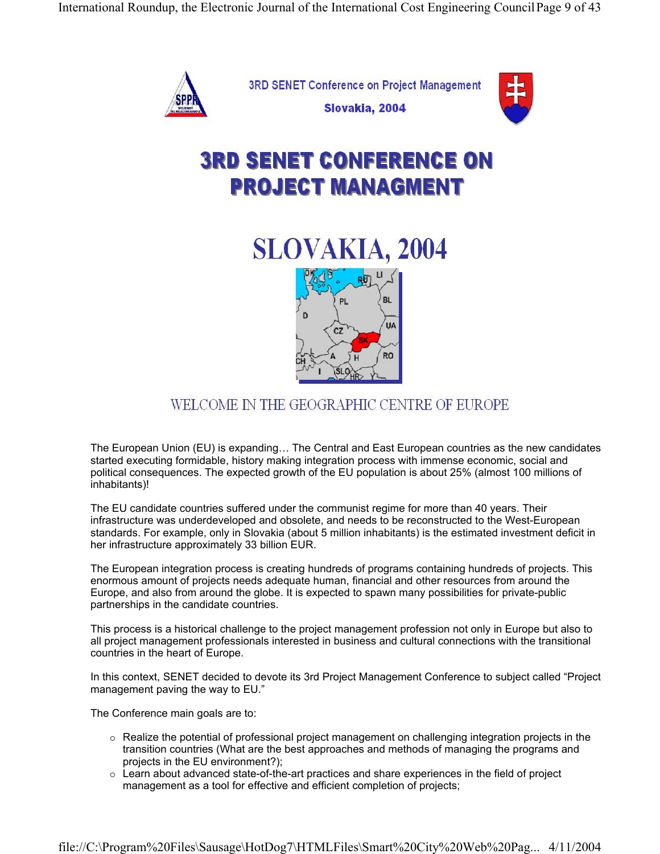

3RD SENET Conference on Project Management Slovakia, 2004



# **3RD SENET CONFERENCE ON PROJECT MANAGMENT**

**SLOVAKIA, 2004** 



## WELCOME IN THE GEOGRAPHIC CENTRE OF EUROPE

The European Union (EU) is expanding… The Central and East European countries as the new candidates started executing formidable, history making integration process with immense economic, social and political consequences. The expected growth of the EU population is about 25% (almost 100 millions of inhabitants)!

The EU candidate countries suffered under the communist regime for more than 40 years. Their infrastructure was underdeveloped and obsolete, and needs to be reconstructed to the West-European standards. For example, only in Slovakia (about 5 million inhabitants) is the estimated investment deficit in her infrastructure approximately 33 billion EUR.

The European integration process is creating hundreds of programs containing hundreds of projects. This enormous amount of projects needs adequate human, financial and other resources from around the Europe, and also from around the globe. It is expected to spawn many possibilities for private-public partnerships in the candidate countries.

This process is a historical challenge to the project management profession not only in Europe but also to all project management professionals interested in business and cultural connections with the transitional countries in the heart of Europe.

In this context, SENET decided to devote its 3rd Project Management Conference to subject called "Project management paving the way to EU."

The Conference main goals are to:

- $\circ$  Realize the potential of professional project management on challenging integration projects in the transition countries (What are the best approaches and methods of managing the programs and projects in the EU environment?);
- $\circ$  Learn about advanced state-of-the-art practices and share experiences in the field of project management as a tool for effective and efficient completion of projects;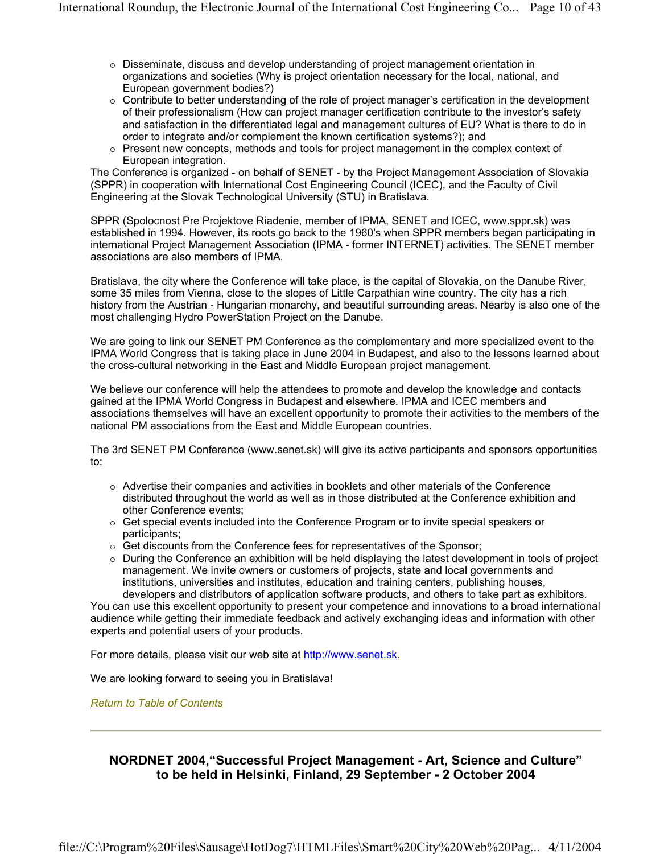- $\circ$  Disseminate, discuss and develop understanding of project management orientation in organizations and societies (Why is project orientation necessary for the local, national, and European government bodies?)
- $\circ$  Contribute to better understanding of the role of project manager's certification in the development of their professionalism (How can project manager certification contribute to the investor's safety and satisfaction in the differentiated legal and management cultures of EU? What is there to do in order to integrate and/or complement the known certification systems?); and
- $\circ$  Present new concepts, methods and tools for project management in the complex context of European integration.

The Conference is organized - on behalf of SENET - by the Project Management Association of Slovakia (SPPR) in cooperation with International Cost Engineering Council (ICEC), and the Faculty of Civil Engineering at the Slovak Technological University (STU) in Bratislava.

SPPR (Spolocnost Pre Projektove Riadenie, member of IPMA, SENET and ICEC, www.sppr.sk) was established in 1994. However, its roots go back to the 1960's when SPPR members began participating in international Project Management Association (IPMA - former INTERNET) activities. The SENET member associations are also members of IPMA.

Bratislava, the city where the Conference will take place, is the capital of Slovakia, on the Danube River, some 35 miles from Vienna, close to the slopes of Little Carpathian wine country. The city has a rich history from the Austrian - Hungarian monarchy, and beautiful surrounding areas. Nearby is also one of the most challenging Hydro PowerStation Project on the Danube.

We are going to link our SENET PM Conference as the complementary and more specialized event to the IPMA World Congress that is taking place in June 2004 in Budapest, and also to the lessons learned about the cross-cultural networking in the East and Middle European project management.

We believe our conference will help the attendees to promote and develop the knowledge and contacts gained at the IPMA World Congress in Budapest and elsewhere. IPMA and ICEC members and associations themselves will have an excellent opportunity to promote their activities to the members of the national PM associations from the East and Middle European countries.

The 3rd SENET PM Conference (www.senet.sk) will give its active participants and sponsors opportunities to:

- $\circ$  Advertise their companies and activities in booklets and other materials of the Conference distributed throughout the world as well as in those distributed at the Conference exhibition and other Conference events;
- $\circ$  Get special events included into the Conference Program or to invite special speakers or participants;
- $\circ$  Get discounts from the Conference fees for representatives of the Sponsor;
- $\circ$  During the Conference an exhibition will be held displaying the latest development in tools of project management. We invite owners or customers of projects, state and local governments and institutions, universities and institutes, education and training centers, publishing houses, developers and distributors of application software products, and others to take part as exhibitors.

You can use this excellent opportunity to present your competence and innovations to a broad international audience while getting their immediate feedback and actively exchanging ideas and information with other experts and potential users of your products.

For more details, please visit our web site at http://www.senet.sk.

We are looking forward to seeing you in Bratislava!

*Return to Table of Contents*

#### **NORDNET 2004,"Successful Project Management - Art, Science and Culture" to be held in Helsinki, Finland, 29 September - 2 October 2004**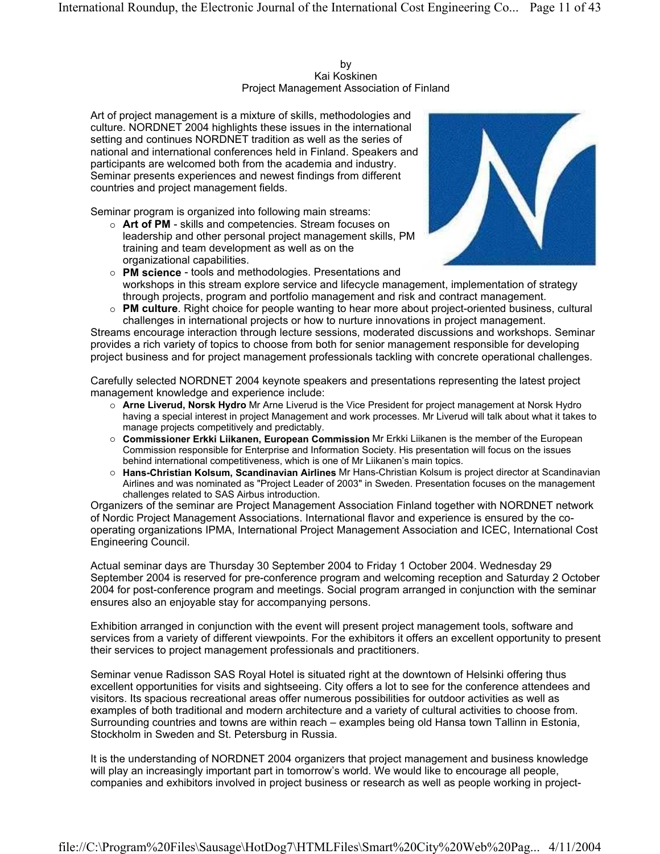by Kai Koskinen Project Management Association of Finland

Art of project management is a mixture of skills, methodologies and culture. NORDNET 2004 highlights these issues in the international setting and continues NORDNET tradition as well as the series of national and international conferences held in Finland. Speakers and participants are welcomed both from the academia and industry. Seminar presents experiences and newest findings from different countries and project management fields.

Seminar program is organized into following main streams:

{ **Art of PM** - skills and competencies. Stream focuses on leadership and other personal project management skills, PM training and team development as well as on the organizational capabilities.



- { **PM science** tools and methodologies. Presentations and workshops in this stream explore service and lifecycle management, implementation of strategy through projects, program and portfolio management and risk and contract management.
- { **PM culture**. Right choice for people wanting to hear more about project-oriented business, cultural challenges in international projects or how to nurture innovations in project management.

Streams encourage interaction through lecture sessions, moderated discussions and workshops. Seminar provides a rich variety of topics to choose from both for senior management responsible for developing project business and for project management professionals tackling with concrete operational challenges.

Carefully selected NORDNET 2004 keynote speakers and presentations representing the latest project management knowledge and experience include:

- { **Arne Liverud, Norsk Hydro** Mr Arne Liverud is the Vice President for project management at Norsk Hydro having a special interest in project Management and work processes. Mr Liverud will talk about what it takes to manage projects competitively and predictably.
- { **Commissioner Erkki Liikanen, European Commission** Mr Erkki Liikanen is the member of the European Commission responsible for Enterprise and Information Society. His presentation will focus on the issues behind international competitiveness, which is one of Mr Liikanen's main topics.
- { **Hans-Christian Kolsum, Scandinavian Airlines** Mr Hans-Christian Kolsum is project director at Scandinavian Airlines and was nominated as "Project Leader of 2003" in Sweden. Presentation focuses on the management challenges related to SAS Airbus introduction.

Organizers of the seminar are Project Management Association Finland together with NORDNET network of Nordic Project Management Associations. International flavor and experience is ensured by the cooperating organizations IPMA, International Project Management Association and ICEC, International Cost Engineering Council.

Actual seminar days are Thursday 30 September 2004 to Friday 1 October 2004. Wednesday 29 September 2004 is reserved for pre-conference program and welcoming reception and Saturday 2 October 2004 for post-conference program and meetings. Social program arranged in conjunction with the seminar ensures also an enjoyable stay for accompanying persons.

Exhibition arranged in conjunction with the event will present project management tools, software and services from a variety of different viewpoints. For the exhibitors it offers an excellent opportunity to present their services to project management professionals and practitioners.

Seminar venue Radisson SAS Royal Hotel is situated right at the downtown of Helsinki offering thus excellent opportunities for visits and sightseeing. City offers a lot to see for the conference attendees and visitors. Its spacious recreational areas offer numerous possibilities for outdoor activities as well as examples of both traditional and modern architecture and a variety of cultural activities to choose from. Surrounding countries and towns are within reach – examples being old Hansa town Tallinn in Estonia, Stockholm in Sweden and St. Petersburg in Russia.

It is the understanding of NORDNET 2004 organizers that project management and business knowledge will play an increasingly important part in tomorrow's world. We would like to encourage all people, companies and exhibitors involved in project business or research as well as people working in project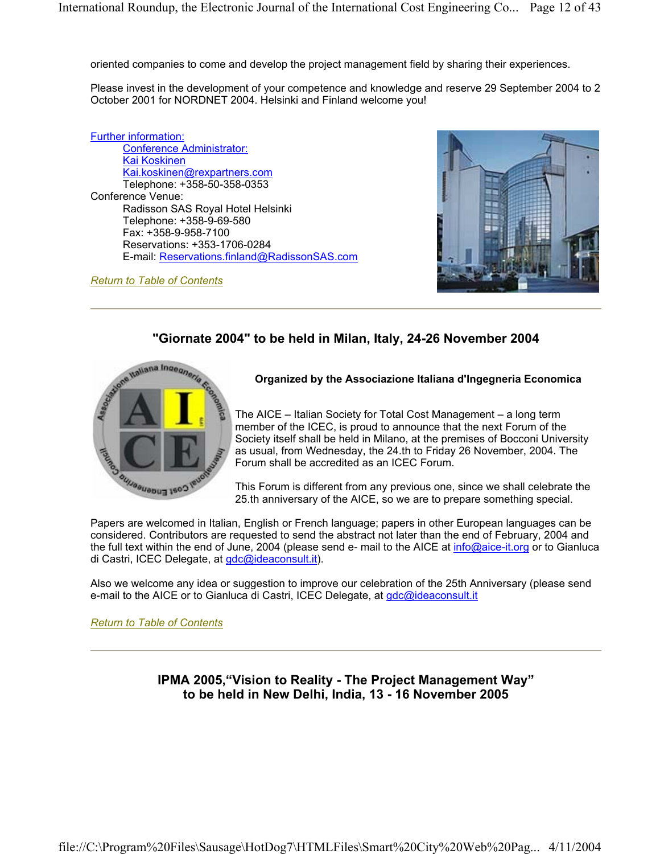oriented companies to come and develop the project management field by sharing their experiences.

Please invest in the development of your competence and knowledge and reserve 29 September 2004 to 2 October 2001 for NORDNET 2004. Helsinki and Finland welcome you!

Further information: Conference Administrator: Kai Koskinen Kai.koskinen@rexpartners.com Telephone: +358-50-358-0353 Conference Venue: Radisson SAS Royal Hotel Helsinki Telephone: +358-9-69-580 Fax: +358-9-958-7100 Reservations: +353-1706-0284 E-mail: Reservations.finland@RadissonSAS.com

*Return to Table of Contents*



#### **"Giornate 2004" to be held in Milan, Italy, 24-26 November 2004**



#### **Organized by the Associazione Italiana d'Ingegneria Economica**

The AICE – Italian Society for Total Cost Management – a long term member of the ICEC, is proud to announce that the next Forum of the Society itself shall be held in Milano, at the premises of Bocconi University as usual, from Wednesday, the 24.th to Friday 26 November, 2004. The Forum shall be accredited as an ICEC Forum.

This Forum is different from any previous one, since we shall celebrate the 25.th anniversary of the AICE, so we are to prepare something special.

Papers are welcomed in Italian, English or French language; papers in other European languages can be considered. Contributors are requested to send the abstract not later than the end of February, 2004 and the full text within the end of June, 2004 (please send e- mail to the AICE at info@aice-it.org or to Gianluca di Castri, ICEC Delegate, at gdc@ideaconsult.it).

Also we welcome any idea or suggestion to improve our celebration of the 25th Anniversary (please send e-mail to the AICE or to Gianluca di Castri, ICEC Delegate, at gdc@ideaconsult.it

*Return to Table of Contents*

**IPMA 2005,"Vision to Reality - The Project Management Way" to be held in New Delhi, India, 13 - 16 November 2005**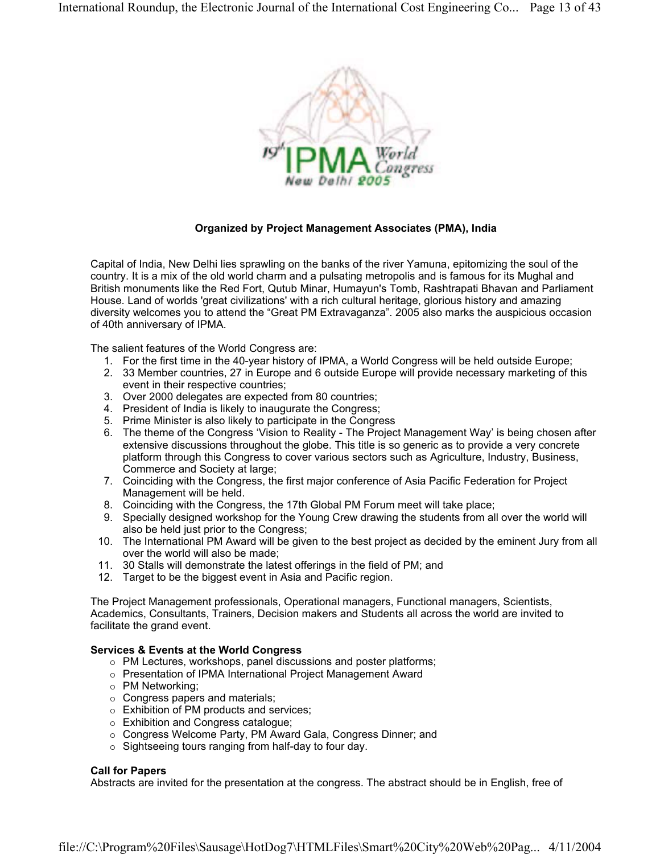

#### **Organized by Project Management Associates (PMA), India**

Capital of India, New Delhi lies sprawling on the banks of the river Yamuna, epitomizing the soul of the country. It is a mix of the old world charm and a pulsating metropolis and is famous for its Mughal and British monuments like the Red Fort, Qutub Minar, Humayun's Tomb, Rashtrapati Bhavan and Parliament House. Land of worlds 'great civilizations' with a rich cultural heritage, glorious history and amazing diversity welcomes you to attend the "Great PM Extravaganza". 2005 also marks the auspicious occasion of 40th anniversary of IPMA.

The salient features of the World Congress are:

- 1. For the first time in the 40-year history of IPMA, a World Congress will be held outside Europe;
- 2. 33 Member countries, 27 in Europe and 6 outside Europe will provide necessary marketing of this event in their respective countries;
- 3. Over 2000 delegates are expected from 80 countries;
- 4. President of India is likely to inaugurate the Congress;
- 5. Prime Minister is also likely to participate in the Congress
- 6. The theme of the Congress 'Vision to Reality The Project Management Way' is being chosen after extensive discussions throughout the globe. This title is so generic as to provide a very concrete platform through this Congress to cover various sectors such as Agriculture, Industry, Business, Commerce and Society at large;
- 7. Coinciding with the Congress, the first major conference of Asia Pacific Federation for Project Management will be held.
- 8. Coinciding with the Congress, the 17th Global PM Forum meet will take place;
- 9. Specially designed workshop for the Young Crew drawing the students from all over the world will also be held just prior to the Congress;
- 10. The International PM Award will be given to the best project as decided by the eminent Jury from all over the world will also be made;
- 11. 30 Stalls will demonstrate the latest offerings in the field of PM; and
- 12. Target to be the biggest event in Asia and Pacific region.

The Project Management professionals, Operational managers, Functional managers, Scientists, Academics, Consultants, Trainers, Decision makers and Students all across the world are invited to facilitate the grand event.

#### **Services & Events at the World Congress**

- o PM Lectures, workshops, panel discussions and poster platforms;
- o Presentation of IPMA International Project Management Award
- $\circ$  PM Networking;
- $\circ$  Congress papers and materials;
- o Exhibition of PM products and services;
- $\circ$  Exhibition and Congress catalogue;
- o Congress Welcome Party, PM Award Gala, Congress Dinner; and
- $\circ$  Sightseeing tours ranging from half-day to four day.

#### **Call for Papers**

Abstracts are invited for the presentation at the congress. The abstract should be in English, free of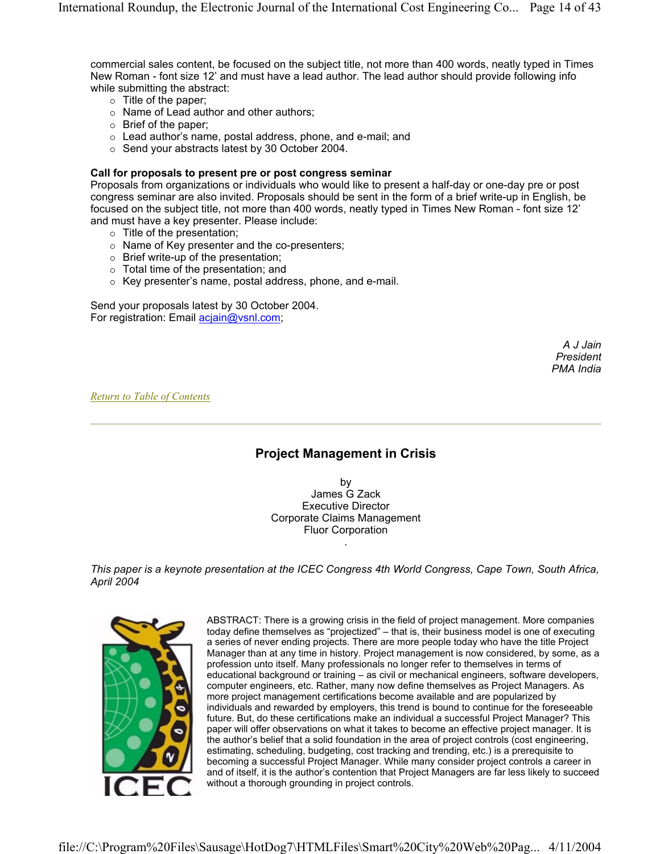commercial sales content, be focused on the subject title, not more than 400 words, neatly typed in Times New Roman - font size 12' and must have a lead author. The lead author should provide following info while submitting the abstract:

- $\circ$  Title of the paper;
- o Name of Lead author and other authors;
- $\circ$  Brief of the paper;
- $\circ$  Lead author's name, postal address, phone, and e-mail; and
- o Send your abstracts latest by 30 October 2004.

#### **Call for proposals to present pre or post congress seminar**

Proposals from organizations or individuals who would like to present a half-day or one-day pre or post congress seminar are also invited. Proposals should be sent in the form of a brief write-up in English, be focused on the subject title, not more than 400 words, neatly typed in Times New Roman - font size 12' and must have a key presenter. Please include:

- $\circ$  Title of the presentation;
- o Name of Key presenter and the co-presenters;
- $\circ$  Brief write-up of the presentation;
- $\circ$  Total time of the presentation; and
- $\circ$  Key presenter's name, postal address, phone, and e-mail.

Send your proposals latest by 30 October 2004. For registration: Email acjain@vsnl.com;

> *A J Jain President PMA India*

*Return to Table of Contents*

#### **Project Management in Crisis**

by James G Zack Executive Director Corporate Claims Management Fluor Corporation

*This paper is a keynote presentation at the ICEC Congress 4th World Congress, Cape Town, South Africa, April 2004*

.



ABSTRACT: There is a growing crisis in the field of project management. More companies today define themselves as "projectized" – that is, their business model is one of executing a series of never ending projects. There are more people today who have the title Project Manager than at any time in history. Project management is now considered, by some, as a profession unto itself. Many professionals no longer refer to themselves in terms of educational background or training – as civil or mechanical engineers, software developers, computer engineers, etc. Rather, many now define themselves as Project Managers. As more project management certifications become available and are popularized by individuals and rewarded by employers, this trend is bound to continue for the foreseeable future. But, do these certifications make an individual a successful Project Manager? This paper will offer observations on what it takes to become an effective project manager. It is the author's belief that a solid foundation in the area of project controls (cost engineering, estimating, scheduling, budgeting, cost tracking and trending, etc.) is a prerequisite to becoming a successful Project Manager. While many consider project controls a career in and of itself, it is the author's contention that Project Managers are far less likely to succeed without a thorough grounding in project controls.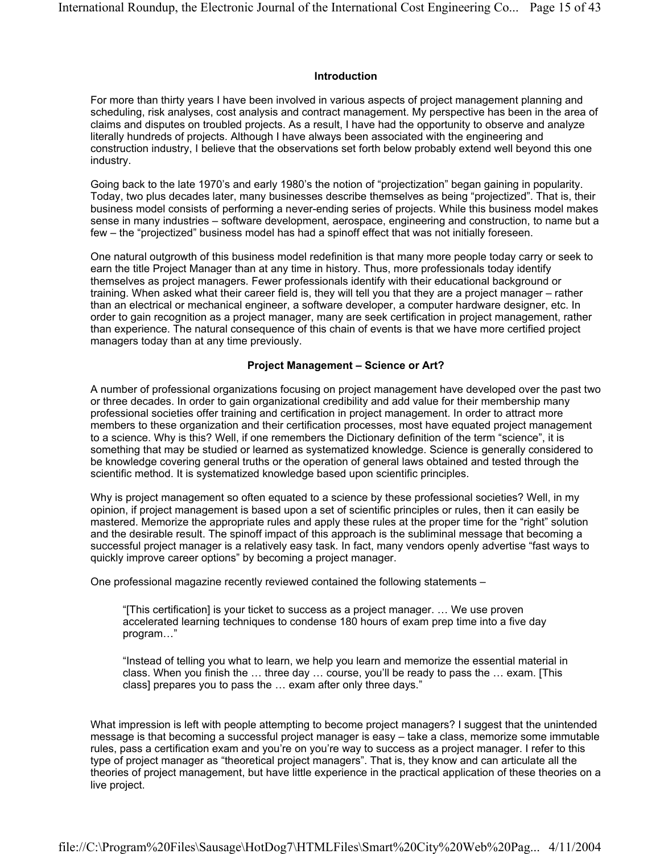#### **Introduction**

For more than thirty years I have been involved in various aspects of project management planning and scheduling, risk analyses, cost analysis and contract management. My perspective has been in the area of claims and disputes on troubled projects. As a result, I have had the opportunity to observe and analyze literally hundreds of projects. Although I have always been associated with the engineering and construction industry, I believe that the observations set forth below probably extend well beyond this one industry.

Going back to the late 1970's and early 1980's the notion of "projectization" began gaining in popularity. Today, two plus decades later, many businesses describe themselves as being "projectized". That is, their business model consists of performing a never-ending series of projects. While this business model makes sense in many industries – software development, aerospace, engineering and construction, to name but a few – the "projectized" business model has had a spinoff effect that was not initially foreseen.

One natural outgrowth of this business model redefinition is that many more people today carry or seek to earn the title Project Manager than at any time in history. Thus, more professionals today identify themselves as project managers. Fewer professionals identify with their educational background or training. When asked what their career field is, they will tell you that they are a project manager – rather than an electrical or mechanical engineer, a software developer, a computer hardware designer, etc. In order to gain recognition as a project manager, many are seek certification in project management, rather than experience. The natural consequence of this chain of events is that we have more certified project managers today than at any time previously.

#### **Project Management – Science or Art?**

A number of professional organizations focusing on project management have developed over the past two or three decades. In order to gain organizational credibility and add value for their membership many professional societies offer training and certification in project management. In order to attract more members to these organization and their certification processes, most have equated project management to a science. Why is this? Well, if one remembers the Dictionary definition of the term "science", it is something that may be studied or learned as systematized knowledge. Science is generally considered to be knowledge covering general truths or the operation of general laws obtained and tested through the scientific method. It is systematized knowledge based upon scientific principles.

Why is project management so often equated to a science by these professional societies? Well, in my opinion, if project management is based upon a set of scientific principles or rules, then it can easily be mastered. Memorize the appropriate rules and apply these rules at the proper time for the "right" solution and the desirable result. The spinoff impact of this approach is the subliminal message that becoming a successful project manager is a relatively easy task. In fact, many vendors openly advertise "fast ways to quickly improve career options" by becoming a project manager.

One professional magazine recently reviewed contained the following statements –

"[This certification] is your ticket to success as a project manager. … We use proven accelerated learning techniques to condense 180 hours of exam prep time into a five day program…"

"Instead of telling you what to learn, we help you learn and memorize the essential material in class. When you finish the … three day … course, you'll be ready to pass the … exam. [This class] prepares you to pass the … exam after only three days."

What impression is left with people attempting to become project managers? I suggest that the unintended message is that becoming a successful project manager is easy – take a class, memorize some immutable rules, pass a certification exam and you're on you're way to success as a project manager. I refer to this type of project manager as "theoretical project managers". That is, they know and can articulate all the theories of project management, but have little experience in the practical application of these theories on a live project.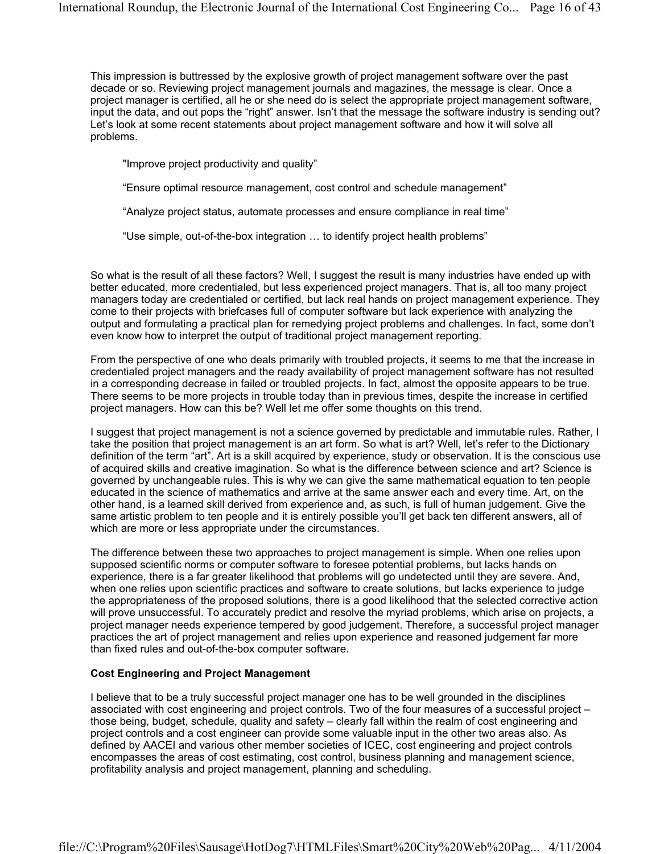This impression is buttressed by the explosive growth of project management software over the past decade or so. Reviewing project management journals and magazines, the message is clear. Once a project manager is certified, all he or she need do is select the appropriate project management software, input the data, and out pops the "right" answer. Isn't that the message the software industry is sending out? Let's look at some recent statements about project management software and how it will solve all problems.

"Improve project productivity and quality"

"Ensure optimal resource management, cost control and schedule management"

"Analyze project status, automate processes and ensure compliance in real time"

"Use simple, out-of-the-box integration … to identify project health problems"

So what is the result of all these factors? Well, I suggest the result is many industries have ended up with better educated, more credentialed, but less experienced project managers. That is, all too many project managers today are credentialed or certified, but lack real hands on project management experience. They come to their projects with briefcases full of computer software but lack experience with analyzing the output and formulating a practical plan for remedying project problems and challenges. In fact, some don't even know how to interpret the output of traditional project management reporting.

From the perspective of one who deals primarily with troubled projects, it seems to me that the increase in credentialed project managers and the ready availability of project management software has not resulted in a corresponding decrease in failed or troubled projects. In fact, almost the opposite appears to be true. There seems to be more projects in trouble today than in previous times, despite the increase in certified project managers. How can this be? Well let me offer some thoughts on this trend.

I suggest that project management is not a science governed by predictable and immutable rules. Rather, I take the position that project management is an art form. So what is art? Well, let's refer to the Dictionary definition of the term "art". Art is a skill acquired by experience, study or observation. It is the conscious use of acquired skills and creative imagination. So what is the difference between science and art? Science is governed by unchangeable rules. This is why we can give the same mathematical equation to ten people educated in the science of mathematics and arrive at the same answer each and every time. Art, on the other hand, is a learned skill derived from experience and, as such, is full of human judgement. Give the same artistic problem to ten people and it is entirely possible you'll get back ten different answers, all of which are more or less appropriate under the circumstances.

The difference between these two approaches to project management is simple. When one relies upon supposed scientific norms or computer software to foresee potential problems, but lacks hands on experience, there is a far greater likelihood that problems will go undetected until they are severe. And, when one relies upon scientific practices and software to create solutions, but lacks experience to judge the appropriateness of the proposed solutions, there is a good likelihood that the selected corrective action will prove unsuccessful. To accurately predict and resolve the myriad problems, which arise on projects, a project manager needs experience tempered by good judgement. Therefore, a successful project manager practices the art of project management and relies upon experience and reasoned judgement far more than fixed rules and out-of-the-box computer software.

#### **Cost Engineering and Project Management**

I believe that to be a truly successful project manager one has to be well grounded in the disciplines associated with cost engineering and project controls. Two of the four measures of a successful project – those being, budget, schedule, quality and safety – clearly fall within the realm of cost engineering and project controls and a cost engineer can provide some valuable input in the other two areas also. As defined by AACEI and various other member societies of ICEC, cost engineering and project controls encompasses the areas of cost estimating, cost control, business planning and management science, profitability analysis and project management, planning and scheduling.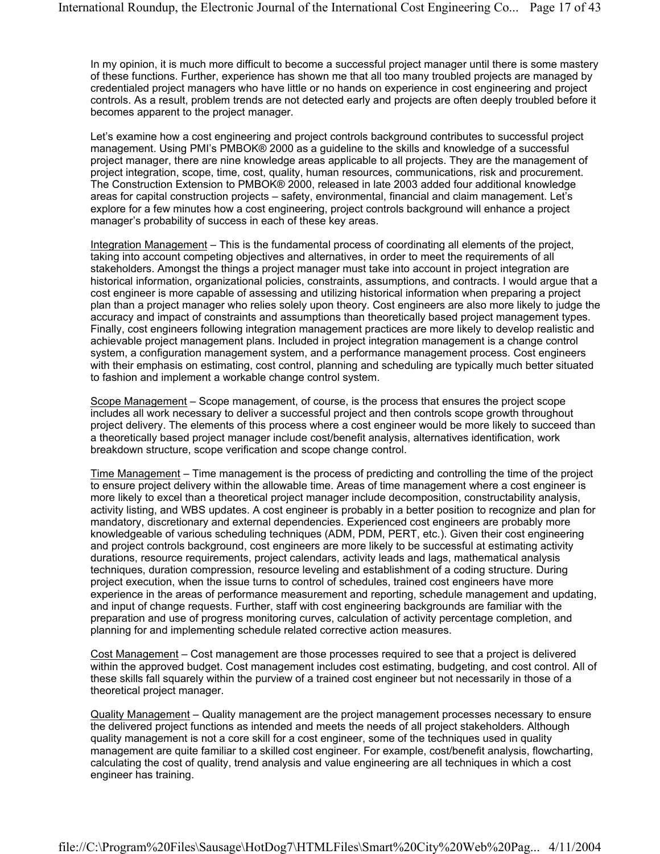In my opinion, it is much more difficult to become a successful project manager until there is some mastery of these functions. Further, experience has shown me that all too many troubled projects are managed by credentialed project managers who have little or no hands on experience in cost engineering and project controls. As a result, problem trends are not detected early and projects are often deeply troubled before it becomes apparent to the project manager.

Let's examine how a cost engineering and project controls background contributes to successful project management. Using PMI's PMBOK® 2000 as a guideline to the skills and knowledge of a successful project manager, there are nine knowledge areas applicable to all projects. They are the management of project integration, scope, time, cost, quality, human resources, communications, risk and procurement. The Construction Extension to PMBOK® 2000, released in late 2003 added four additional knowledge areas for capital construction projects – safety, environmental, financial and claim management. Let's explore for a few minutes how a cost engineering, project controls background will enhance a project manager's probability of success in each of these key areas.

Integration Management – This is the fundamental process of coordinating all elements of the project, taking into account competing objectives and alternatives, in order to meet the requirements of all stakeholders. Amongst the things a project manager must take into account in project integration are historical information, organizational policies, constraints, assumptions, and contracts. I would argue that a cost engineer is more capable of assessing and utilizing historical information when preparing a project plan than a project manager who relies solely upon theory. Cost engineers are also more likely to judge the accuracy and impact of constraints and assumptions than theoretically based project management types. Finally, cost engineers following integration management practices are more likely to develop realistic and achievable project management plans. Included in project integration management is a change control system, a configuration management system, and a performance management process. Cost engineers with their emphasis on estimating, cost control, planning and scheduling are typically much better situated to fashion and implement a workable change control system.

Scope Management – Scope management, of course, is the process that ensures the project scope includes all work necessary to deliver a successful project and then controls scope growth throughout project delivery. The elements of this process where a cost engineer would be more likely to succeed than a theoretically based project manager include cost/benefit analysis, alternatives identification, work breakdown structure, scope verification and scope change control.

Time Management – Time management is the process of predicting and controlling the time of the project to ensure project delivery within the allowable time. Areas of time management where a cost engineer is more likely to excel than a theoretical project manager include decomposition, constructability analysis, activity listing, and WBS updates. A cost engineer is probably in a better position to recognize and plan for mandatory, discretionary and external dependencies. Experienced cost engineers are probably more knowledgeable of various scheduling techniques (ADM, PDM, PERT, etc.). Given their cost engineering and project controls background, cost engineers are more likely to be successful at estimating activity durations, resource requirements, project calendars, activity leads and lags, mathematical analysis techniques, duration compression, resource leveling and establishment of a coding structure. During project execution, when the issue turns to control of schedules, trained cost engineers have more experience in the areas of performance measurement and reporting, schedule management and updating, and input of change requests. Further, staff with cost engineering backgrounds are familiar with the preparation and use of progress monitoring curves, calculation of activity percentage completion, and planning for and implementing schedule related corrective action measures.

Cost Management – Cost management are those processes required to see that a project is delivered within the approved budget. Cost management includes cost estimating, budgeting, and cost control. All of these skills fall squarely within the purview of a trained cost engineer but not necessarily in those of a theoretical project manager.

Quality Management – Quality management are the project management processes necessary to ensure the delivered project functions as intended and meets the needs of all project stakeholders. Although quality management is not a core skill for a cost engineer, some of the techniques used in quality management are quite familiar to a skilled cost engineer. For example, cost/benefit analysis, flowcharting, calculating the cost of quality, trend analysis and value engineering are all techniques in which a cost engineer has training.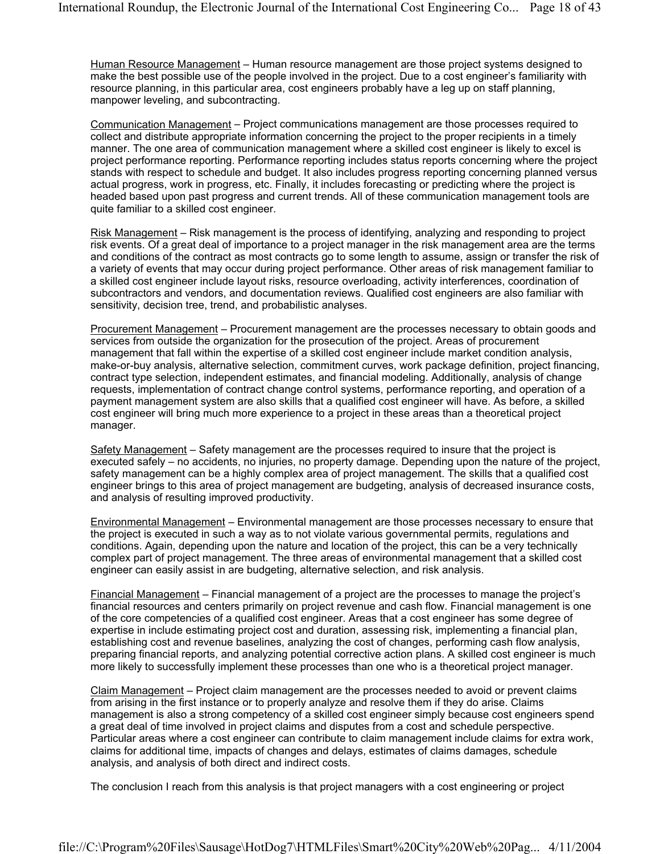Human Resource Management – Human resource management are those project systems designed to make the best possible use of the people involved in the project. Due to a cost engineer's familiarity with resource planning, in this particular area, cost engineers probably have a leg up on staff planning, manpower leveling, and subcontracting.

Communication Management – Project communications management are those processes required to collect and distribute appropriate information concerning the project to the proper recipients in a timely manner. The one area of communication management where a skilled cost engineer is likely to excel is project performance reporting. Performance reporting includes status reports concerning where the project stands with respect to schedule and budget. It also includes progress reporting concerning planned versus actual progress, work in progress, etc. Finally, it includes forecasting or predicting where the project is headed based upon past progress and current trends. All of these communication management tools are quite familiar to a skilled cost engineer.

Risk Management – Risk management is the process of identifying, analyzing and responding to project risk events. Of a great deal of importance to a project manager in the risk management area are the terms and conditions of the contract as most contracts go to some length to assume, assign or transfer the risk of a variety of events that may occur during project performance. Other areas of risk management familiar to a skilled cost engineer include layout risks, resource overloading, activity interferences, coordination of subcontractors and vendors, and documentation reviews. Qualified cost engineers are also familiar with sensitivity, decision tree, trend, and probabilistic analyses.

Procurement Management – Procurement management are the processes necessary to obtain goods and services from outside the organization for the prosecution of the project. Areas of procurement management that fall within the expertise of a skilled cost engineer include market condition analysis, make-or-buy analysis, alternative selection, commitment curves, work package definition, project financing, contract type selection, independent estimates, and financial modeling. Additionally, analysis of change requests, implementation of contract change control systems, performance reporting, and operation of a payment management system are also skills that a qualified cost engineer will have. As before, a skilled cost engineer will bring much more experience to a project in these areas than a theoretical project manager.

Safety Management – Safety management are the processes required to insure that the project is executed safely – no accidents, no injuries, no property damage. Depending upon the nature of the project, safety management can be a highly complex area of project management. The skills that a qualified cost engineer brings to this area of project management are budgeting, analysis of decreased insurance costs, and analysis of resulting improved productivity.

Environmental Management – Environmental management are those processes necessary to ensure that the project is executed in such a way as to not violate various governmental permits, regulations and conditions. Again, depending upon the nature and location of the project, this can be a very technically complex part of project management. The three areas of environmental management that a skilled cost engineer can easily assist in are budgeting, alternative selection, and risk analysis.

Financial Management – Financial management of a project are the processes to manage the project's financial resources and centers primarily on project revenue and cash flow. Financial management is one of the core competencies of a qualified cost engineer. Areas that a cost engineer has some degree of expertise in include estimating project cost and duration, assessing risk, implementing a financial plan, establishing cost and revenue baselines, analyzing the cost of changes, performing cash flow analysis, preparing financial reports, and analyzing potential corrective action plans. A skilled cost engineer is much more likely to successfully implement these processes than one who is a theoretical project manager.

Claim Management – Project claim management are the processes needed to avoid or prevent claims from arising in the first instance or to properly analyze and resolve them if they do arise. Claims management is also a strong competency of a skilled cost engineer simply because cost engineers spend a great deal of time involved in project claims and disputes from a cost and schedule perspective. Particular areas where a cost engineer can contribute to claim management include claims for extra work, claims for additional time, impacts of changes and delays, estimates of claims damages, schedule analysis, and analysis of both direct and indirect costs.

The conclusion I reach from this analysis is that project managers with a cost engineering or project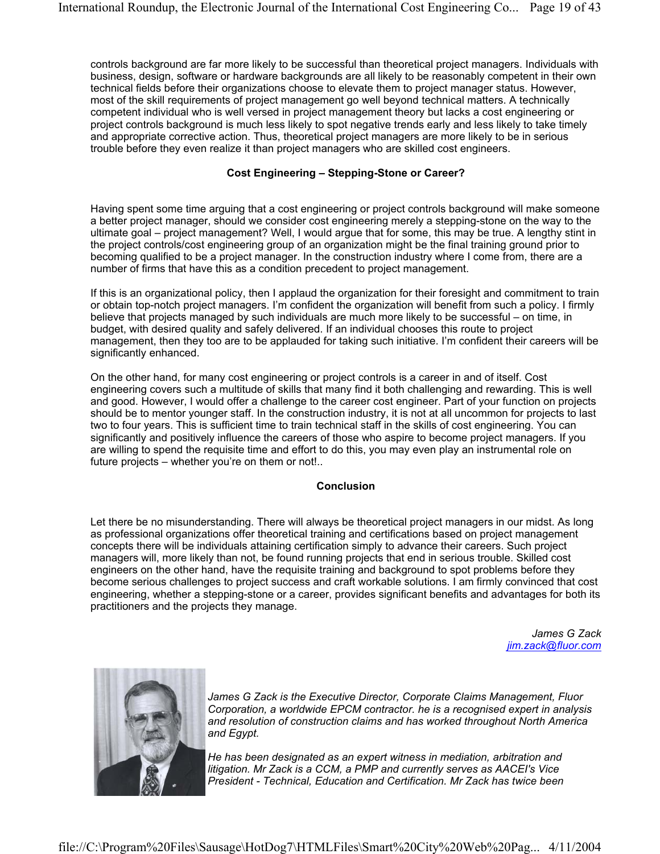controls background are far more likely to be successful than theoretical project managers. Individuals with business, design, software or hardware backgrounds are all likely to be reasonably competent in their own technical fields before their organizations choose to elevate them to project manager status. However, most of the skill requirements of project management go well beyond technical matters. A technically competent individual who is well versed in project management theory but lacks a cost engineering or project controls background is much less likely to spot negative trends early and less likely to take timely and appropriate corrective action. Thus, theoretical project managers are more likely to be in serious trouble before they even realize it than project managers who are skilled cost engineers.

#### **Cost Engineering – Stepping-Stone or Career?**

Having spent some time arguing that a cost engineering or project controls background will make someone a better project manager, should we consider cost engineering merely a stepping-stone on the way to the ultimate goal – project management? Well, I would argue that for some, this may be true. A lengthy stint in the project controls/cost engineering group of an organization might be the final training ground prior to becoming qualified to be a project manager. In the construction industry where I come from, there are a number of firms that have this as a condition precedent to project management.

If this is an organizational policy, then I applaud the organization for their foresight and commitment to train or obtain top-notch project managers. I'm confident the organization will benefit from such a policy. I firmly believe that projects managed by such individuals are much more likely to be successful – on time, in budget, with desired quality and safely delivered. If an individual chooses this route to project management, then they too are to be applauded for taking such initiative. I'm confident their careers will be significantly enhanced.

On the other hand, for many cost engineering or project controls is a career in and of itself. Cost engineering covers such a multitude of skills that many find it both challenging and rewarding. This is well and good. However, I would offer a challenge to the career cost engineer. Part of your function on projects should be to mentor younger staff. In the construction industry, it is not at all uncommon for projects to last two to four years. This is sufficient time to train technical staff in the skills of cost engineering. You can significantly and positively influence the careers of those who aspire to become project managers. If you are willing to spend the requisite time and effort to do this, you may even play an instrumental role on future projects – whether you're on them or not!..

#### **Conclusion**

Let there be no misunderstanding. There will always be theoretical project managers in our midst. As long as professional organizations offer theoretical training and certifications based on project management concepts there will be individuals attaining certification simply to advance their careers. Such project managers will, more likely than not, be found running projects that end in serious trouble. Skilled cost engineers on the other hand, have the requisite training and background to spot problems before they become serious challenges to project success and craft workable solutions. I am firmly convinced that cost engineering, whether a stepping-stone or a career, provides significant benefits and advantages for both its practitioners and the projects they manage.

> *James G Zack jim.zack@fluor.com*



*James G Zack is the Executive Director, Corporate Claims Management, Fluor Corporation, a worldwide EPCM contractor. he is a recognised expert in analysis and resolution of construction claims and has worked throughout North America and Egypt.* 

*He has been designated as an expert witness in mediation, arbitration and litigation. Mr Zack is a CCM, a PMP and currently serves as AACEI's Vice President - Technical, Education and Certification. Mr Zack has twice been*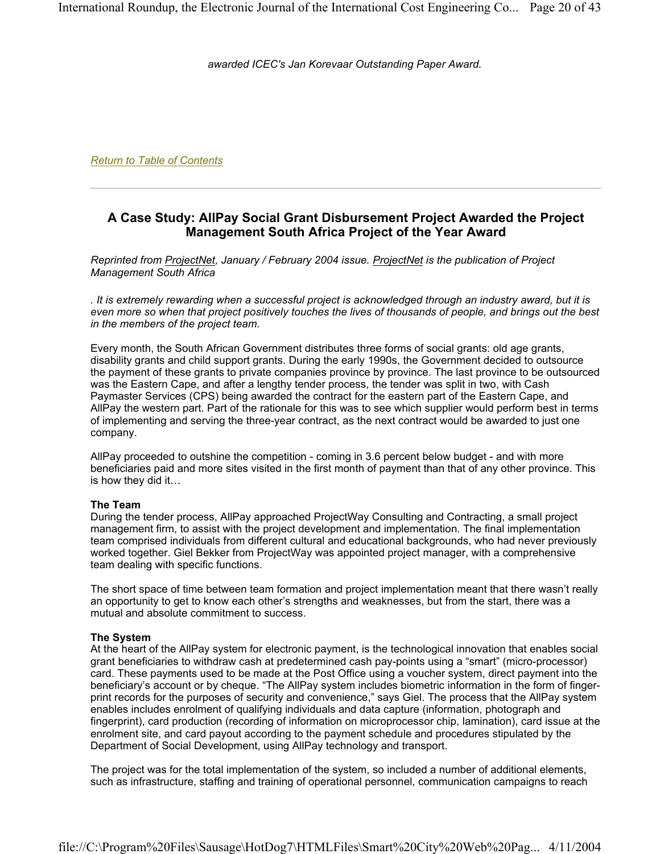#### *awarded ICEC's Jan Korevaar Outstanding Paper Award.*

*Return to Table of Contents*

#### **A Case Study: AllPay Social Grant Disbursement Project Awarded the Project Management South Africa Project of the Year Award**

*Reprinted from ProjectNet, January / February 2004 issue. ProjectNet is the publication of Project Management South Africa*

*. It is extremely rewarding when a successful project is acknowledged through an industry award, but it is even more so when that project positively touches the lives of thousands of people, and brings out the best in the members of the project team.*

Every month, the South African Government distributes three forms of social grants: old age grants, disability grants and child support grants. During the early 1990s, the Government decided to outsource the payment of these grants to private companies province by province. The last province to be outsourced was the Eastern Cape, and after a lengthy tender process, the tender was split in two, with Cash Paymaster Services (CPS) being awarded the contract for the eastern part of the Eastern Cape, and AllPay the western part. Part of the rationale for this was to see which supplier would perform best in terms of implementing and serving the three-year contract, as the next contract would be awarded to just one company.

AllPay proceeded to outshine the competition - coming in 3.6 percent below budget - and with more beneficiaries paid and more sites visited in the first month of payment than that of any other province. This is how they did it…

#### **The Team**

During the tender process, AllPay approached ProjectWay Consulting and Contracting, a small project management firm, to assist with the project development and implementation. The final implementation team comprised individuals from different cultural and educational backgrounds, who had never previously worked together. Giel Bekker from ProjectWay was appointed project manager, with a comprehensive team dealing with specific functions.

The short space of time between team formation and project implementation meant that there wasn't really an opportunity to get to know each other's strengths and weaknesses, but from the start, there was a mutual and absolute commitment to success.

#### **The System**

At the heart of the AllPay system for electronic payment, is the technological innovation that enables social grant beneficiaries to withdraw cash at predetermined cash pay-points using a "smart" (micro-processor) card. These payments used to be made at the Post Office using a voucher system, direct payment into the beneficiary's account or by cheque. "The AllPay system includes biometric information in the form of fingerprint records for the purposes of security and convenience," says Giel. The process that the AllPay system enables includes enrolment of qualifying individuals and data capture (information, photograph and fingerprint), card production (recording of information on microprocessor chip, lamination), card issue at the enrolment site, and card payout according to the payment schedule and procedures stipulated by the Department of Social Development, using AllPay technology and transport.

The project was for the total implementation of the system, so included a number of additional elements, such as infrastructure, staffing and training of operational personnel, communication campaigns to reach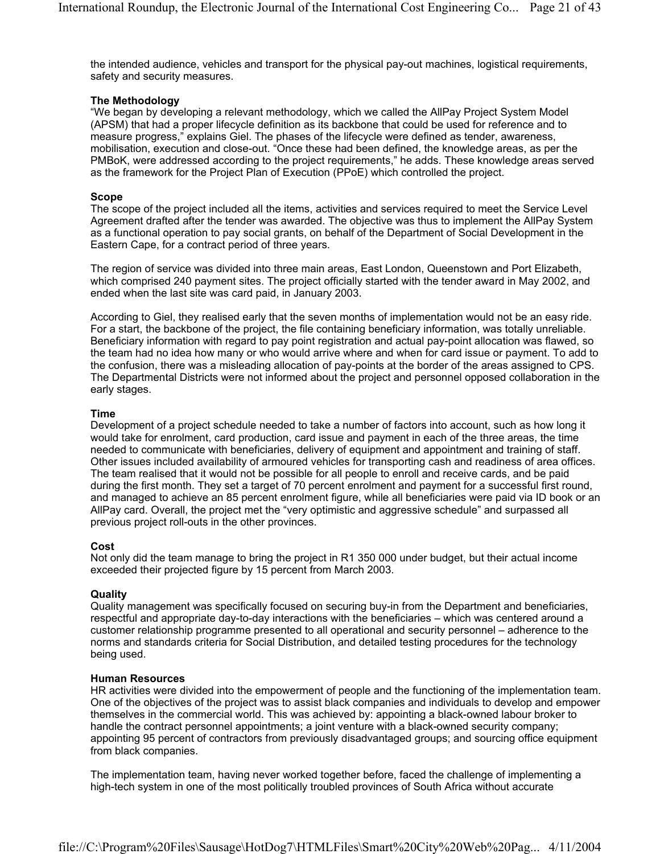the intended audience, vehicles and transport for the physical pay-out machines, logistical requirements, safety and security measures.

#### **The Methodology**

"We began by developing a relevant methodology, which we called the AllPay Project System Model (APSM) that had a proper lifecycle definition as its backbone that could be used for reference and to measure progress," explains Giel. The phases of the lifecycle were defined as tender, awareness, mobilisation, execution and close-out. "Once these had been defined, the knowledge areas, as per the PMBoK, were addressed according to the project requirements," he adds. These knowledge areas served as the framework for the Project Plan of Execution (PPoE) which controlled the project.

#### **Scope**

The scope of the project included all the items, activities and services required to meet the Service Level Agreement drafted after the tender was awarded. The objective was thus to implement the AllPay System as a functional operation to pay social grants, on behalf of the Department of Social Development in the Eastern Cape, for a contract period of three years.

The region of service was divided into three main areas, East London, Queenstown and Port Elizabeth, which comprised 240 payment sites. The project officially started with the tender award in May 2002, and ended when the last site was card paid, in January 2003.

According to Giel, they realised early that the seven months of implementation would not be an easy ride. For a start, the backbone of the project, the file containing beneficiary information, was totally unreliable. Beneficiary information with regard to pay point registration and actual pay-point allocation was flawed, so the team had no idea how many or who would arrive where and when for card issue or payment. To add to the confusion, there was a misleading allocation of pay-points at the border of the areas assigned to CPS. The Departmental Districts were not informed about the project and personnel opposed collaboration in the early stages.

#### **Time**

Development of a project schedule needed to take a number of factors into account, such as how long it would take for enrolment, card production, card issue and payment in each of the three areas, the time needed to communicate with beneficiaries, delivery of equipment and appointment and training of staff. Other issues included availability of armoured vehicles for transporting cash and readiness of area offices. The team realised that it would not be possible for all people to enroll and receive cards, and be paid during the first month. They set a target of 70 percent enrolment and payment for a successful first round, and managed to achieve an 85 percent enrolment figure, while all beneficiaries were paid via ID book or an AllPay card. Overall, the project met the "very optimistic and aggressive schedule" and surpassed all previous project roll-outs in the other provinces.

#### **Cost**

Not only did the team manage to bring the project in R1 350 000 under budget, but their actual income exceeded their projected figure by 15 percent from March 2003.

#### **Quality**

Quality management was specifically focused on securing buy-in from the Department and beneficiaries, respectful and appropriate day-to-day interactions with the beneficiaries – which was centered around a customer relationship programme presented to all operational and security personnel – adherence to the norms and standards criteria for Social Distribution, and detailed testing procedures for the technology being used.

#### **Human Resources**

HR activities were divided into the empowerment of people and the functioning of the implementation team. One of the objectives of the project was to assist black companies and individuals to develop and empower themselves in the commercial world. This was achieved by: appointing a black-owned labour broker to handle the contract personnel appointments; a joint venture with a black-owned security company; appointing 95 percent of contractors from previously disadvantaged groups; and sourcing office equipment from black companies.

The implementation team, having never worked together before, faced the challenge of implementing a high-tech system in one of the most politically troubled provinces of South Africa without accurate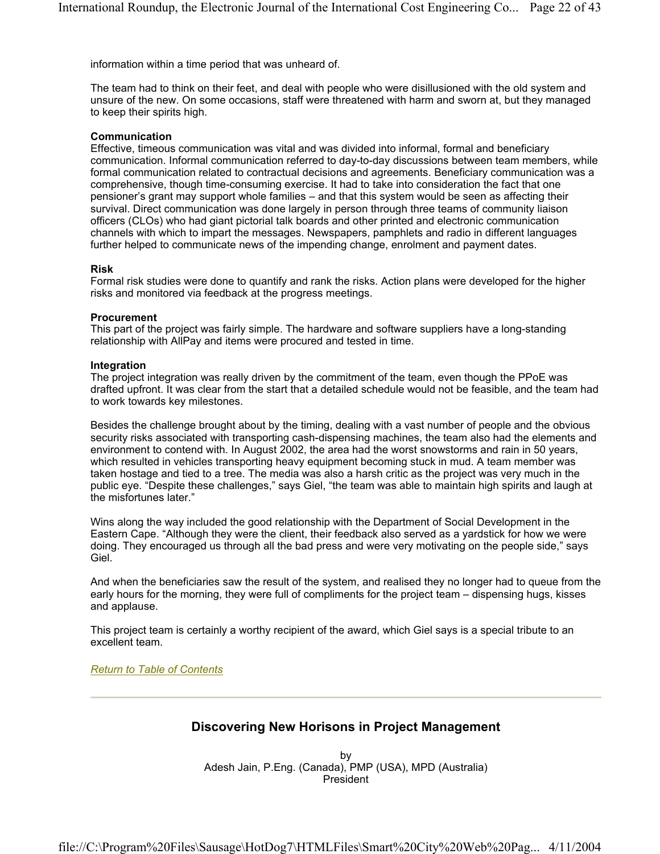information within a time period that was unheard of.

The team had to think on their feet, and deal with people who were disillusioned with the old system and unsure of the new. On some occasions, staff were threatened with harm and sworn at, but they managed to keep their spirits high.

#### **Communication**

Effective, timeous communication was vital and was divided into informal, formal and beneficiary communication. Informal communication referred to day-to-day discussions between team members, while formal communication related to contractual decisions and agreements. Beneficiary communication was a comprehensive, though time-consuming exercise. It had to take into consideration the fact that one pensioner's grant may support whole families – and that this system would be seen as affecting their survival. Direct communication was done largely in person through three teams of community liaison officers (CLOs) who had giant pictorial talk boards and other printed and electronic communication channels with which to impart the messages. Newspapers, pamphlets and radio in different languages further helped to communicate news of the impending change, enrolment and payment dates.

#### **Risk**

Formal risk studies were done to quantify and rank the risks. Action plans were developed for the higher risks and monitored via feedback at the progress meetings.

#### **Procurement**

This part of the project was fairly simple. The hardware and software suppliers have a long-standing relationship with AllPay and items were procured and tested in time.

#### **Integration**

The project integration was really driven by the commitment of the team, even though the PPoE was drafted upfront. It was clear from the start that a detailed schedule would not be feasible, and the team had to work towards key milestones.

Besides the challenge brought about by the timing, dealing with a vast number of people and the obvious security risks associated with transporting cash-dispensing machines, the team also had the elements and environment to contend with. In August 2002, the area had the worst snowstorms and rain in 50 years, which resulted in vehicles transporting heavy equipment becoming stuck in mud. A team member was taken hostage and tied to a tree. The media was also a harsh critic as the project was very much in the public eye. "Despite these challenges," says Giel, "the team was able to maintain high spirits and laugh at the misfortunes later."

Wins along the way included the good relationship with the Department of Social Development in the Eastern Cape. "Although they were the client, their feedback also served as a yardstick for how we were doing. They encouraged us through all the bad press and were very motivating on the people side," says Giel.

And when the beneficiaries saw the result of the system, and realised they no longer had to queue from the early hours for the morning, they were full of compliments for the project team – dispensing hugs, kisses and applause.

This project team is certainly a worthy recipient of the award, which Giel says is a special tribute to an excellent team.

#### *Return to Table of Contents*

#### **Discovering New Horisons in Project Management**

by Adesh Jain, P.Eng. (Canada), PMP (USA), MPD (Australia) President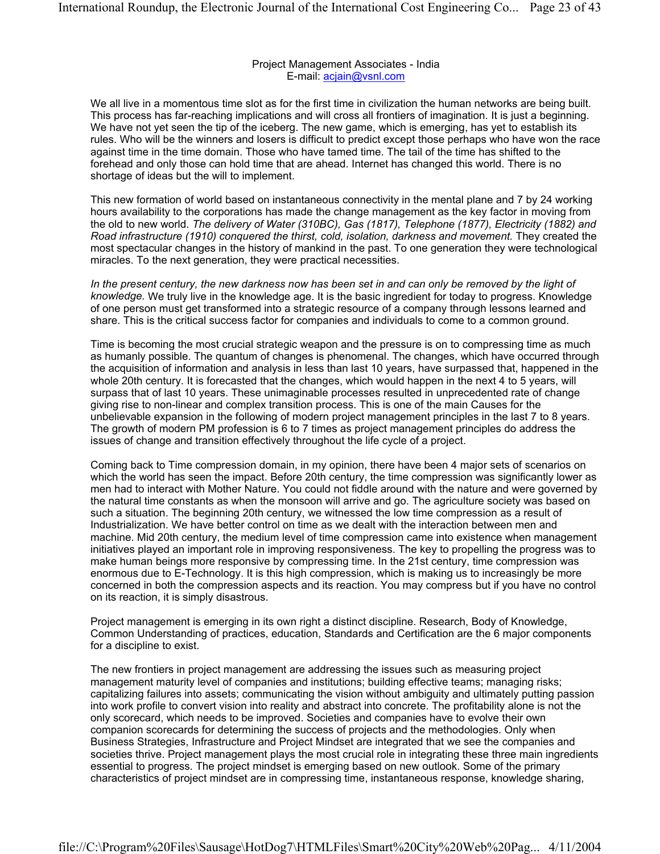#### Project Management Associates - India E-mail: acjain@vsnl.com

We all live in a momentous time slot as for the first time in civilization the human networks are being built. This process has far-reaching implications and will cross all frontiers of imagination. It is just a beginning. We have not yet seen the tip of the iceberg. The new game, which is emerging, has yet to establish its rules. Who will be the winners and losers is difficult to predict except those perhaps who have won the race against time in the time domain. Those who have tamed time. The tail of the time has shifted to the forehead and only those can hold time that are ahead. Internet has changed this world. There is no shortage of ideas but the will to implement.

This new formation of world based on instantaneous connectivity in the mental plane and 7 by 24 working hours availability to the corporations has made the change management as the key factor in moving from the old to new world. *The delivery of Water (310BC), Gas (1817), Telephone (1877), Electricity (1882) and Road infrastructure (1910) conquered the thirst, cold, isolation, darkness and movement.* They created the most spectacular changes in the history of mankind in the past. To one generation they were technological miracles. To the next generation, they were practical necessities.

*In the present century, the new darkness now has been set in and can only be removed by the light of knowledge.* We truly live in the knowledge age. It is the basic ingredient for today to progress. Knowledge of one person must get transformed into a strategic resource of a company through lessons learned and share. This is the critical success factor for companies and individuals to come to a common ground.

Time is becoming the most crucial strategic weapon and the pressure is on to compressing time as much as humanly possible. The quantum of changes is phenomenal. The changes, which have occurred through the acquisition of information and analysis in less than last 10 years, have surpassed that, happened in the whole 20th century. It is forecasted that the changes, which would happen in the next 4 to 5 years, will surpass that of last 10 years. These unimaginable processes resulted in unprecedented rate of change giving rise to non-linear and complex transition process. This is one of the main Causes for the unbelievable expansion in the following of modern project management principles in the last 7 to 8 years. The growth of modern PM profession is 6 to 7 times as project management principles do address the issues of change and transition effectively throughout the life cycle of a project.

Coming back to Time compression domain, in my opinion, there have been 4 major sets of scenarios on which the world has seen the impact. Before 20th century, the time compression was significantly lower as men had to interact with Mother Nature. You could not fiddle around with the nature and were governed by the natural time constants as when the monsoon will arrive and go. The agriculture society was based on such a situation. The beginning 20th century, we witnessed the low time compression as a result of Industrialization. We have better control on time as we dealt with the interaction between men and machine. Mid 20th century, the medium level of time compression came into existence when management initiatives played an important role in improving responsiveness. The key to propelling the progress was to make human beings more responsive by compressing time. In the 21st century, time compression was enormous due to E-Technology. It is this high compression, which is making us to increasingly be more concerned in both the compression aspects and its reaction. You may compress but if you have no control on its reaction, it is simply disastrous.

Project management is emerging in its own right a distinct discipline. Research, Body of Knowledge, Common Understanding of practices, education, Standards and Certification are the 6 major components for a discipline to exist.

The new frontiers in project management are addressing the issues such as measuring project management maturity level of companies and institutions; building effective teams; managing risks; capitalizing failures into assets; communicating the vision without ambiguity and ultimately putting passion into work profile to convert vision into reality and abstract into concrete. The profitability alone is not the only scorecard, which needs to be improved. Societies and companies have to evolve their own companion scorecards for determining the success of projects and the methodologies. Only when Business Strategies, Infrastructure and Project Mindset are integrated that we see the companies and societies thrive. Project management plays the most crucial role in integrating these three main ingredients essential to progress. The project mindset is emerging based on new outlook. Some of the primary characteristics of project mindset are in compressing time, instantaneous response, knowledge sharing,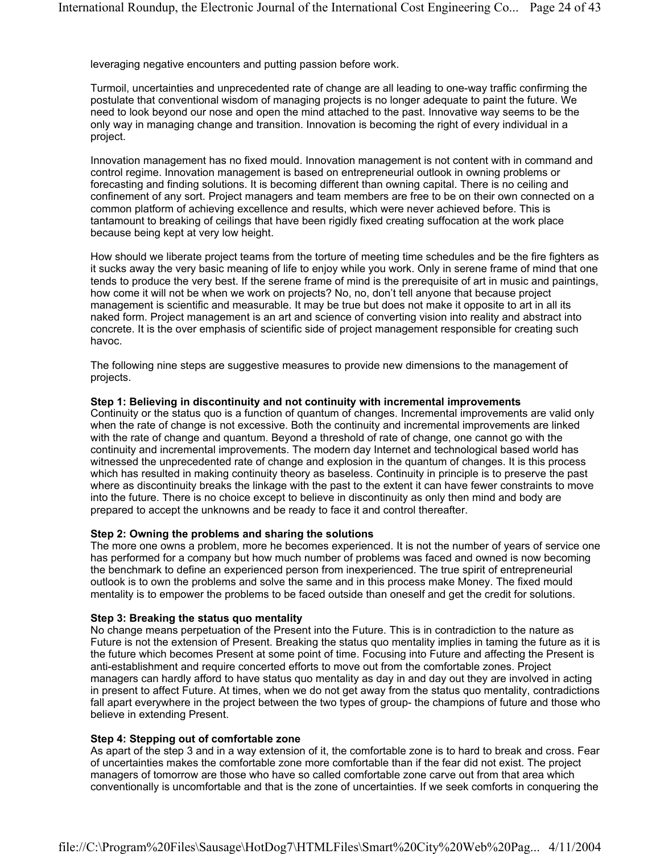leveraging negative encounters and putting passion before work.

Turmoil, uncertainties and unprecedented rate of change are all leading to one-way traffic confirming the postulate that conventional wisdom of managing projects is no longer adequate to paint the future. We need to look beyond our nose and open the mind attached to the past. Innovative way seems to be the only way in managing change and transition. Innovation is becoming the right of every individual in a project.

Innovation management has no fixed mould. Innovation management is not content with in command and control regime. Innovation management is based on entrepreneurial outlook in owning problems or forecasting and finding solutions. It is becoming different than owning capital. There is no ceiling and confinement of any sort. Project managers and team members are free to be on their own connected on a common platform of achieving excellence and results, which were never achieved before. This is tantamount to breaking of ceilings that have been rigidly fixed creating suffocation at the work place because being kept at very low height.

How should we liberate project teams from the torture of meeting time schedules and be the fire fighters as it sucks away the very basic meaning of life to enjoy while you work. Only in serene frame of mind that one tends to produce the very best. If the serene frame of mind is the prerequisite of art in music and paintings, how come it will not be when we work on projects? No, no, don't tell anyone that because project management is scientific and measurable. It may be true but does not make it opposite to art in all its naked form. Project management is an art and science of converting vision into reality and abstract into concrete. It is the over emphasis of scientific side of project management responsible for creating such havoc.

The following nine steps are suggestive measures to provide new dimensions to the management of projects.

#### **Step 1: Believing in discontinuity and not continuity with incremental improvements**

Continuity or the status quo is a function of quantum of changes. Incremental improvements are valid only when the rate of change is not excessive. Both the continuity and incremental improvements are linked with the rate of change and quantum. Beyond a threshold of rate of change, one cannot go with the continuity and incremental improvements. The modern day Internet and technological based world has witnessed the unprecedented rate of change and explosion in the quantum of changes. It is this process which has resulted in making continuity theory as baseless. Continuity in principle is to preserve the past where as discontinuity breaks the linkage with the past to the extent it can have fewer constraints to move into the future. There is no choice except to believe in discontinuity as only then mind and body are prepared to accept the unknowns and be ready to face it and control thereafter.

#### **Step 2: Owning the problems and sharing the solutions**

The more one owns a problem, more he becomes experienced. It is not the number of years of service one has performed for a company but how much number of problems was faced and owned is now becoming the benchmark to define an experienced person from inexperienced. The true spirit of entrepreneurial outlook is to own the problems and solve the same and in this process make Money. The fixed mould mentality is to empower the problems to be faced outside than oneself and get the credit for solutions.

#### **Step 3: Breaking the status quo mentality**

No change means perpetuation of the Present into the Future. This is in contradiction to the nature as Future is not the extension of Present. Breaking the status quo mentality implies in taming the future as it is the future which becomes Present at some point of time. Focusing into Future and affecting the Present is anti-establishment and require concerted efforts to move out from the comfortable zones. Project managers can hardly afford to have status quo mentality as day in and day out they are involved in acting in present to affect Future. At times, when we do not get away from the status quo mentality, contradictions fall apart everywhere in the project between the two types of group- the champions of future and those who believe in extending Present.

#### **Step 4: Stepping out of comfortable zone**

As apart of the step 3 and in a way extension of it, the comfortable zone is to hard to break and cross. Fear of uncertainties makes the comfortable zone more comfortable than if the fear did not exist. The project managers of tomorrow are those who have so called comfortable zone carve out from that area which conventionally is uncomfortable and that is the zone of uncertainties. If we seek comforts in conquering the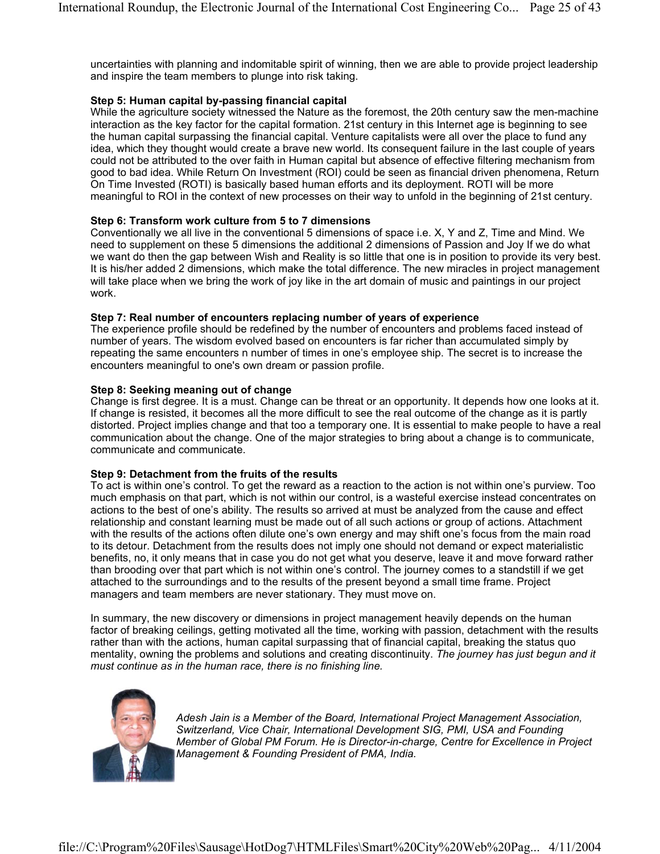uncertainties with planning and indomitable spirit of winning, then we are able to provide project leadership and inspire the team members to plunge into risk taking.

#### **Step 5: Human capital by-passing financial capital**

While the agriculture society witnessed the Nature as the foremost, the 20th century saw the men-machine interaction as the key factor for the capital formation. 21st century in this Internet age is beginning to see the human capital surpassing the financial capital. Venture capitalists were all over the place to fund any idea, which they thought would create a brave new world. Its consequent failure in the last couple of years could not be attributed to the over faith in Human capital but absence of effective filtering mechanism from good to bad idea. While Return On Investment (ROI) could be seen as financial driven phenomena, Return On Time Invested (ROTI) is basically based human efforts and its deployment. ROTI will be more meaningful to ROI in the context of new processes on their way to unfold in the beginning of 21st century.

#### **Step 6: Transform work culture from 5 to 7 dimensions**

Conventionally we all live in the conventional 5 dimensions of space i.e. X, Y and Z, Time and Mind. We need to supplement on these 5 dimensions the additional 2 dimensions of Passion and Joy If we do what we want do then the gap between Wish and Reality is so little that one is in position to provide its very best. It is his/her added 2 dimensions, which make the total difference. The new miracles in project management will take place when we bring the work of joy like in the art domain of music and paintings in our project work.

#### **Step 7: Real number of encounters replacing number of years of experience**

The experience profile should be redefined by the number of encounters and problems faced instead of number of years. The wisdom evolved based on encounters is far richer than accumulated simply by repeating the same encounters n number of times in one's employee ship. The secret is to increase the encounters meaningful to one's own dream or passion profile.

#### **Step 8: Seeking meaning out of change**

Change is first degree. It is a must. Change can be threat or an opportunity. It depends how one looks at it. If change is resisted, it becomes all the more difficult to see the real outcome of the change as it is partly distorted. Project implies change and that too a temporary one. It is essential to make people to have a real communication about the change. One of the major strategies to bring about a change is to communicate, communicate and communicate.

#### **Step 9: Detachment from the fruits of the results**

To act is within one's control. To get the reward as a reaction to the action is not within one's purview. Too much emphasis on that part, which is not within our control, is a wasteful exercise instead concentrates on actions to the best of one's ability. The results so arrived at must be analyzed from the cause and effect relationship and constant learning must be made out of all such actions or group of actions. Attachment with the results of the actions often dilute one's own energy and may shift one's focus from the main road to its detour. Detachment from the results does not imply one should not demand or expect materialistic benefits, no, it only means that in case you do not get what you deserve, leave it and move forward rather than brooding over that part which is not within one's control. The journey comes to a standstill if we get attached to the surroundings and to the results of the present beyond a small time frame. Project managers and team members are never stationary. They must move on.

In summary, the new discovery or dimensions in project management heavily depends on the human factor of breaking ceilings, getting motivated all the time, working with passion, detachment with the results rather than with the actions, human capital surpassing that of financial capital, breaking the status quo mentality, owning the problems and solutions and creating discontinuity. *The journey has just begun and it must continue as in the human race, there is no finishing line.*



*Adesh Jain is a Member of the Board, International Project Management Association, Switzerland, Vice Chair, International Development SIG, PMI, USA and Founding Member of Global PM Forum. He is Director-in-charge, Centre for Excellence in Project Management & Founding President of PMA, India.*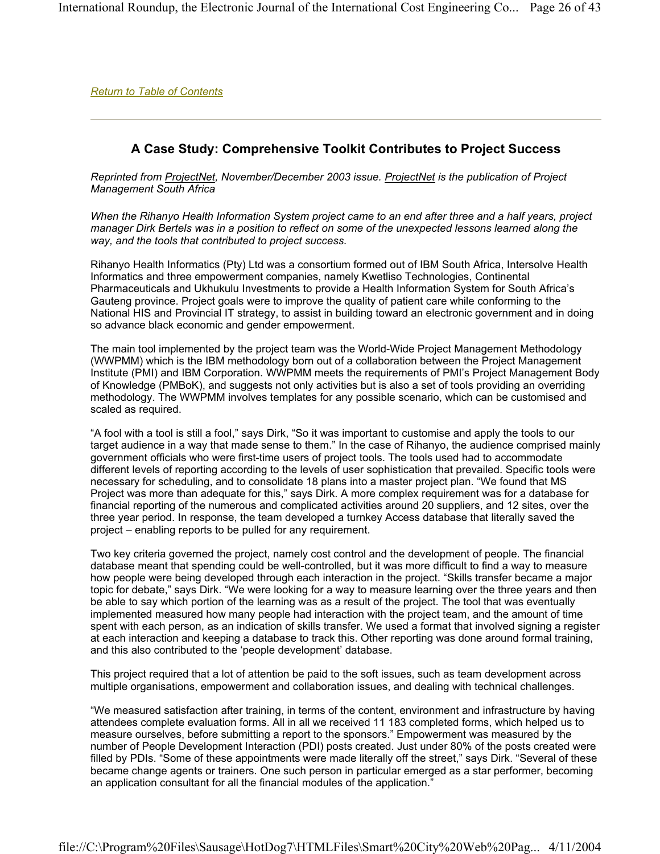*Return to Table of Contents*

#### **A Case Study: Comprehensive Toolkit Contributes to Project Success**

*Reprinted from ProjectNet, November/December 2003 issue. ProjectNet is the publication of Project Management South Africa*

*When the Rihanyo Health Information System project came to an end after three and a half years, project manager Dirk Bertels was in a position to reflect on some of the unexpected lessons learned along the way, and the tools that contributed to project success.*

Rihanyo Health Informatics (Pty) Ltd was a consortium formed out of IBM South Africa, Intersolve Health Informatics and three empowerment companies, namely Kwetliso Technologies, Continental Pharmaceuticals and Ukhukulu Investments to provide a Health Information System for South Africa's Gauteng province. Project goals were to improve the quality of patient care while conforming to the National HIS and Provincial IT strategy, to assist in building toward an electronic government and in doing so advance black economic and gender empowerment.

The main tool implemented by the project team was the World-Wide Project Management Methodology (WWPMM) which is the IBM methodology born out of a collaboration between the Project Management Institute (PMI) and IBM Corporation. WWPMM meets the requirements of PMI's Project Management Body of Knowledge (PMBoK), and suggests not only activities but is also a set of tools providing an overriding methodology. The WWPMM involves templates for any possible scenario, which can be customised and scaled as required.

"A fool with a tool is still a fool," says Dirk, "So it was important to customise and apply the tools to our target audience in a way that made sense to them." In the case of Rihanyo, the audience comprised mainly government officials who were first-time users of project tools. The tools used had to accommodate different levels of reporting according to the levels of user sophistication that prevailed. Specific tools were necessary for scheduling, and to consolidate 18 plans into a master project plan. "We found that MS Project was more than adequate for this," says Dirk. A more complex requirement was for a database for financial reporting of the numerous and complicated activities around 20 suppliers, and 12 sites, over the three year period. In response, the team developed a turnkey Access database that literally saved the project – enabling reports to be pulled for any requirement.

Two key criteria governed the project, namely cost control and the development of people. The financial database meant that spending could be well-controlled, but it was more difficult to find a way to measure how people were being developed through each interaction in the project. "Skills transfer became a major topic for debate," says Dirk. "We were looking for a way to measure learning over the three years and then be able to say which portion of the learning was as a result of the project. The tool that was eventually implemented measured how many people had interaction with the project team, and the amount of time spent with each person, as an indication of skills transfer. We used a format that involved signing a register at each interaction and keeping a database to track this. Other reporting was done around formal training, and this also contributed to the 'people development' database.

This project required that a lot of attention be paid to the soft issues, such as team development across multiple organisations, empowerment and collaboration issues, and dealing with technical challenges.

"We measured satisfaction after training, in terms of the content, environment and infrastructure by having attendees complete evaluation forms. All in all we received 11 183 completed forms, which helped us to measure ourselves, before submitting a report to the sponsors." Empowerment was measured by the number of People Development Interaction (PDI) posts created. Just under 80% of the posts created were filled by PDIs. "Some of these appointments were made literally off the street," says Dirk. "Several of these became change agents or trainers. One such person in particular emerged as a star performer, becoming an application consultant for all the financial modules of the application."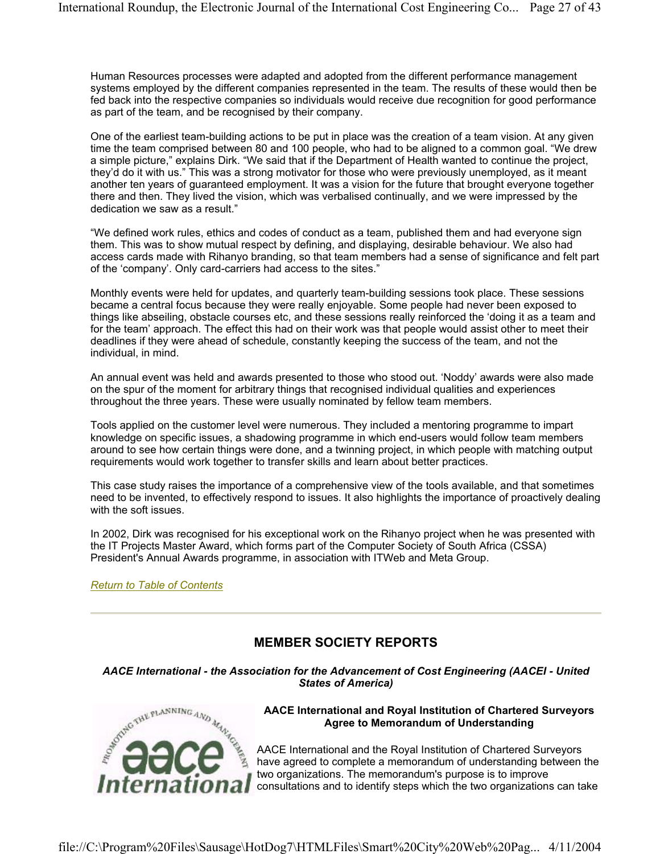Human Resources processes were adapted and adopted from the different performance management systems employed by the different companies represented in the team. The results of these would then be fed back into the respective companies so individuals would receive due recognition for good performance as part of the team, and be recognised by their company.

One of the earliest team-building actions to be put in place was the creation of a team vision. At any given time the team comprised between 80 and 100 people, who had to be aligned to a common goal. "We drew a simple picture," explains Dirk. "We said that if the Department of Health wanted to continue the project, they'd do it with us." This was a strong motivator for those who were previously unemployed, as it meant another ten years of guaranteed employment. It was a vision for the future that brought everyone together there and then. They lived the vision, which was verbalised continually, and we were impressed by the dedication we saw as a result."

"We defined work rules, ethics and codes of conduct as a team, published them and had everyone sign them. This was to show mutual respect by defining, and displaying, desirable behaviour. We also had access cards made with Rihanyo branding, so that team members had a sense of significance and felt part of the 'company'. Only card-carriers had access to the sites."

Monthly events were held for updates, and quarterly team-building sessions took place. These sessions became a central focus because they were really enjoyable. Some people had never been exposed to things like abseiling, obstacle courses etc, and these sessions really reinforced the 'doing it as a team and for the team' approach. The effect this had on their work was that people would assist other to meet their deadlines if they were ahead of schedule, constantly keeping the success of the team, and not the individual, in mind.

An annual event was held and awards presented to those who stood out. 'Noddy' awards were also made on the spur of the moment for arbitrary things that recognised individual qualities and experiences throughout the three years. These were usually nominated by fellow team members.

Tools applied on the customer level were numerous. They included a mentoring programme to impart knowledge on specific issues, a shadowing programme in which end-users would follow team members around to see how certain things were done, and a twinning project, in which people with matching output requirements would work together to transfer skills and learn about better practices.

This case study raises the importance of a comprehensive view of the tools available, and that sometimes need to be invented, to effectively respond to issues. It also highlights the importance of proactively dealing with the soft issues.

In 2002, Dirk was recognised for his exceptional work on the Rihanyo project when he was presented with the IT Projects Master Award, which forms part of the Computer Society of South Africa (CSSA) President's Annual Awards programme, in association with ITWeb and Meta Group.

*Return to Table of Contents*

## **MEMBER SOCIETY REPORTS**

*AACE International - the Association for the Advancement of Cost Engineering (AACEI - United States of America)* 



#### **AACE International and Royal Institution of Chartered Surveyors Agree to Memorandum of Understanding**

AACE International and the Royal Institution of Chartered Surveyors have agreed to complete a memorandum of understanding between the two organizations. The memorandum's purpose is to improve consultations and to identify steps which the two organizations can take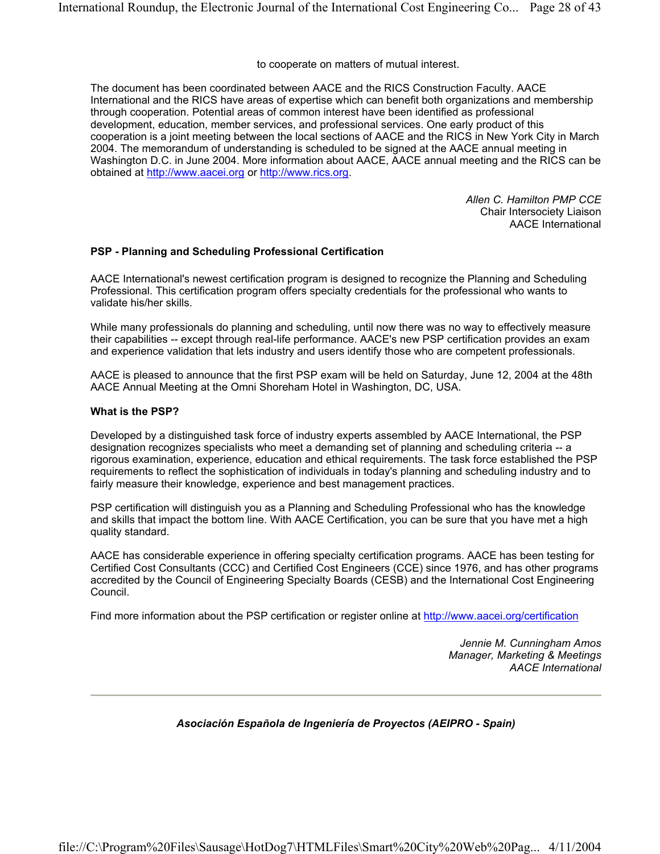to cooperate on matters of mutual interest.

The document has been coordinated between AACE and the RICS Construction Faculty. AACE International and the RICS have areas of expertise which can benefit both organizations and membership through cooperation. Potential areas of common interest have been identified as professional development, education, member services, and professional services. One early product of this cooperation is a joint meeting between the local sections of AACE and the RICS in New York City in March 2004. The memorandum of understanding is scheduled to be signed at the AACE annual meeting in Washington D.C. in June 2004. More information about AACE, AACE annual meeting and the RICS can be obtained at http://www.aacei.org or http://www.rics.org.

> *Allen C. Hamilton PMP CCE* Chair Intersociety Liaison AACE International

#### **PSP - Planning and Scheduling Professional Certification**

AACE International's newest certification program is designed to recognize the Planning and Scheduling Professional. This certification program offers specialty credentials for the professional who wants to validate his/her skills.

While many professionals do planning and scheduling, until now there was no way to effectively measure their capabilities -- except through real-life performance. AACE's new PSP certification provides an exam and experience validation that lets industry and users identify those who are competent professionals.

AACE is pleased to announce that the first PSP exam will be held on Saturday, June 12, 2004 at the 48th AACE Annual Meeting at the Omni Shoreham Hotel in Washington, DC, USA.

#### **What is the PSP?**

Developed by a distinguished task force of industry experts assembled by AACE International, the PSP designation recognizes specialists who meet a demanding set of planning and scheduling criteria -- a rigorous examination, experience, education and ethical requirements. The task force established the PSP requirements to reflect the sophistication of individuals in today's planning and scheduling industry and to fairly measure their knowledge, experience and best management practices.

PSP certification will distinguish you as a Planning and Scheduling Professional who has the knowledge and skills that impact the bottom line. With AACE Certification, you can be sure that you have met a high quality standard.

AACE has considerable experience in offering specialty certification programs. AACE has been testing for Certified Cost Consultants (CCC) and Certified Cost Engineers (CCE) since 1976, and has other programs accredited by the Council of Engineering Specialty Boards (CESB) and the International Cost Engineering Council.

Find more information about the PSP certification or register online at http://www.aacei.org/certification

*Jennie M. Cunningham Amos Manager, Marketing & Meetings AACE International*

#### *Asociación Española de Ingeniería de Proyectos (AEIPRO - Spain)*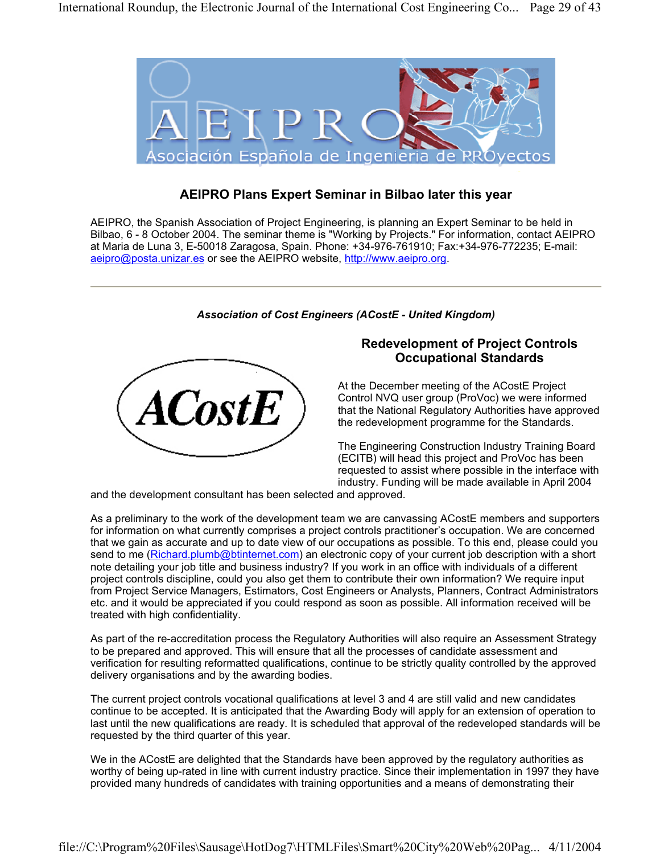

#### **AEIPRO Plans Expert Seminar in Bilbao later this year**

AEIPRO, the Spanish Association of Project Engineering, is planning an Expert Seminar to be held in Bilbao, 6 - 8 October 2004. The seminar theme is "Working by Projects." For information, contact AEIPRO at Maria de Luna 3, E-50018 Zaragosa, Spain. Phone: +34-976-761910; Fax:+34-976-772235; E-mail: aeipro@posta.unizar.es or see the AEIPRO website, http://www.aeipro.org.

#### *Association of Cost Engineers (ACostE - United Kingdom)*



#### **Redevelopment of Project Controls Occupational Standards**

At the December meeting of the ACostE Project Control NVQ user group (ProVoc) we were informed that the National Regulatory Authorities have approved the redevelopment programme for the Standards.

The Engineering Construction Industry Training Board (ECITB) will head this project and ProVoc has been requested to assist where possible in the interface with industry. Funding will be made available in April 2004

and the development consultant has been selected and approved.

As a preliminary to the work of the development team we are canvassing ACostE members and supporters for information on what currently comprises a project controls practitioner's occupation. We are concerned that we gain as accurate and up to date view of our occupations as possible. To this end, please could you send to me (Richard.plumb@btinternet.com) an electronic copy of your current job description with a short note detailing your job title and business industry? If you work in an office with individuals of a different project controls discipline, could you also get them to contribute their own information? We require input from Project Service Managers, Estimators, Cost Engineers or Analysts, Planners, Contract Administrators etc. and it would be appreciated if you could respond as soon as possible. All information received will be treated with high confidentiality.

As part of the re-accreditation process the Regulatory Authorities will also require an Assessment Strategy to be prepared and approved. This will ensure that all the processes of candidate assessment and verification for resulting reformatted qualifications, continue to be strictly quality controlled by the approved delivery organisations and by the awarding bodies.

The current project controls vocational qualifications at level 3 and 4 are still valid and new candidates continue to be accepted. It is anticipated that the Awarding Body will apply for an extension of operation to last until the new qualifications are ready. It is scheduled that approval of the redeveloped standards will be requested by the third quarter of this year.

We in the ACostE are delighted that the Standards have been approved by the regulatory authorities as worthy of being up-rated in line with current industry practice. Since their implementation in 1997 they have provided many hundreds of candidates with training opportunities and a means of demonstrating their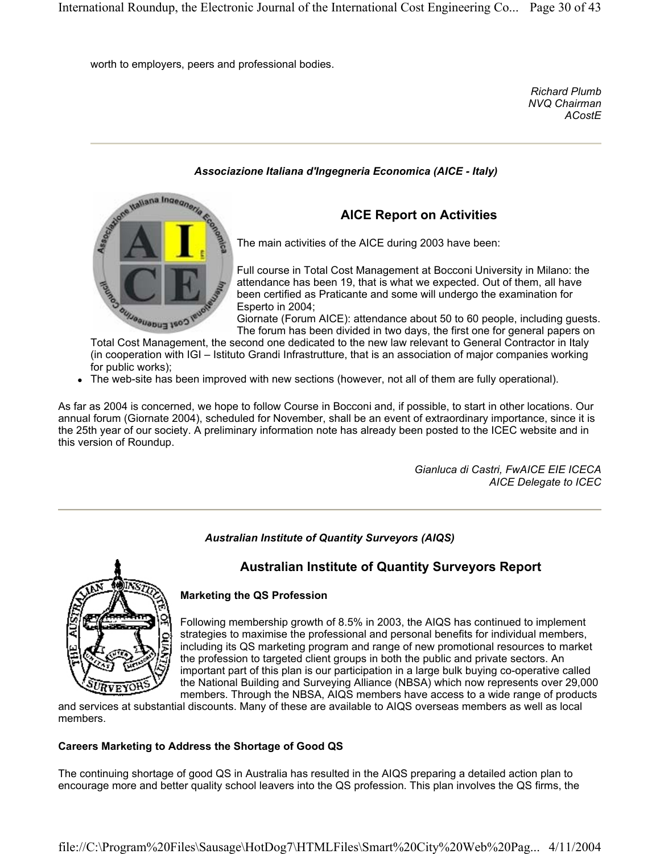worth to employers, peers and professional bodies.

*Richard Plumb NVQ Chairman ACostE*

## tallana Ingegneria **AICE Report on Activities**  The main activities of the AICE during 2003 have been: attendance has been 19, that is what we expected. Out of them, all have been certified as Praticante and some will undergo the examination for Esperto in 2004; Cost Engeneering The forum has been divided in two days, the first one for general papers on Total Cost Management, the second one dedicated to the new law relevant to General Contractor in Italy (in cooperation with IGI – Istituto Grandi Infrastrutture, that is an association of major companies working

#### for public works); The web-site has been improved with new sections (however, not all of them are fully operational).

As far as 2004 is concerned, we hope to follow Course in Bocconi and, if possible, to start in other locations. Our annual forum (Giornate 2004), scheduled for November, shall be an event of extraordinary importance, since it is the 25th year of our society. A preliminary information note has already been posted to the ICEC website and in this version of Roundup.

> *Gianluca di Castri, FwAICE EIE ICECA AICE Delegate to ICEC*

*Australian Institute of Quantity Surveyors (AIQS)* 

#### **Australian Institute of Quantity Surveyors Report**



#### **Marketing the QS Profession**

Following membership growth of 8.5% in 2003, the AIQS has continued to implement strategies to maximise the professional and personal benefits for individual members, including its QS marketing program and range of new promotional resources to market the profession to targeted client groups in both the public and private sectors. An important part of this plan is our participation in a large bulk buying co-operative called the National Building and Surveying Alliance (NBSA) which now represents over 29,000 members. Through the NBSA, AIQS members have access to a wide range of products

and services at substantial discounts. Many of these are available to AIQS overseas members as well as local members.

#### **Careers Marketing to Address the Shortage of Good QS**

The continuing shortage of good QS in Australia has resulted in the AIQS preparing a detailed action plan to encourage more and better quality school leavers into the QS profession. This plan involves the QS firms, the

# *Associazione Italiana d'Ingegneria Economica (AICE - Italy)*

Full course in Total Cost Management at Bocconi University in Milano: the

Giornate (Forum AICE): attendance about 50 to 60 people, including guests.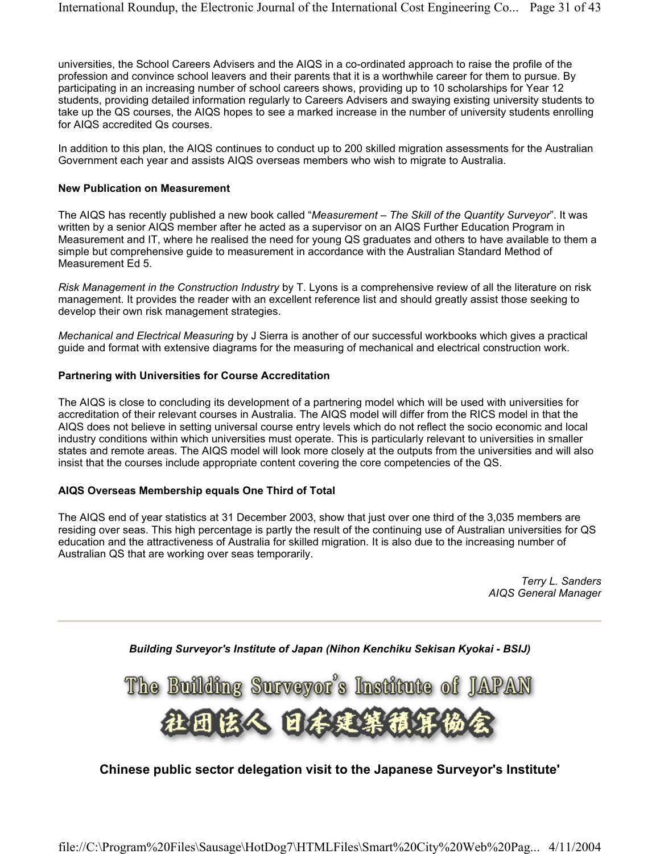universities, the School Careers Advisers and the AIQS in a co-ordinated approach to raise the profile of the profession and convince school leavers and their parents that it is a worthwhile career for them to pursue. By participating in an increasing number of school careers shows, providing up to 10 scholarships for Year 12 students, providing detailed information regularly to Careers Advisers and swaying existing university students to take up the QS courses, the AIQS hopes to see a marked increase in the number of university students enrolling for AIQS accredited Qs courses.

In addition to this plan, the AIQS continues to conduct up to 200 skilled migration assessments for the Australian Government each year and assists AIQS overseas members who wish to migrate to Australia.

#### **New Publication on Measurement**

The AIQS has recently published a new book called "*Measurement – The Skill of the Quantity Surveyor*". It was written by a senior AIQS member after he acted as a supervisor on an AIQS Further Education Program in Measurement and IT, where he realised the need for young QS graduates and others to have available to them a simple but comprehensive guide to measurement in accordance with the Australian Standard Method of Measurement Ed 5.

*Risk Management in the Construction Industry* by T. Lyons is a comprehensive review of all the literature on risk management. It provides the reader with an excellent reference list and should greatly assist those seeking to develop their own risk management strategies.

*Mechanical and Electrical Measuring* by J Sierra is another of our successful workbooks which gives a practical guide and format with extensive diagrams for the measuring of mechanical and electrical construction work.

#### **Partnering with Universities for Course Accreditation**

The AIQS is close to concluding its development of a partnering model which will be used with universities for accreditation of their relevant courses in Australia. The AIQS model will differ from the RICS model in that the AIQS does not believe in setting universal course entry levels which do not reflect the socio economic and local industry conditions within which universities must operate. This is particularly relevant to universities in smaller states and remote areas. The AIQS model will look more closely at the outputs from the universities and will also insist that the courses include appropriate content covering the core competencies of the QS.

#### **AIQS Overseas Membership equals One Third of Total**

The AIQS end of year statistics at 31 December 2003, show that just over one third of the 3,035 members are residing over seas. This high percentage is partly the result of the continuing use of Australian universities for QS education and the attractiveness of Australia for skilled migration. It is also due to the increasing number of Australian QS that are working over seas temporarily.

> *Terry L. Sanders AIQS General Manager*

*Building Surveyor's Institute of Japan (Nihon Kenchiku Sekisan Kyokai - BSIJ)* 

The Building Surveyor's Institute of JAPAN

#### **Chinese public sector delegation visit to the Japanese Surveyor's Institute'**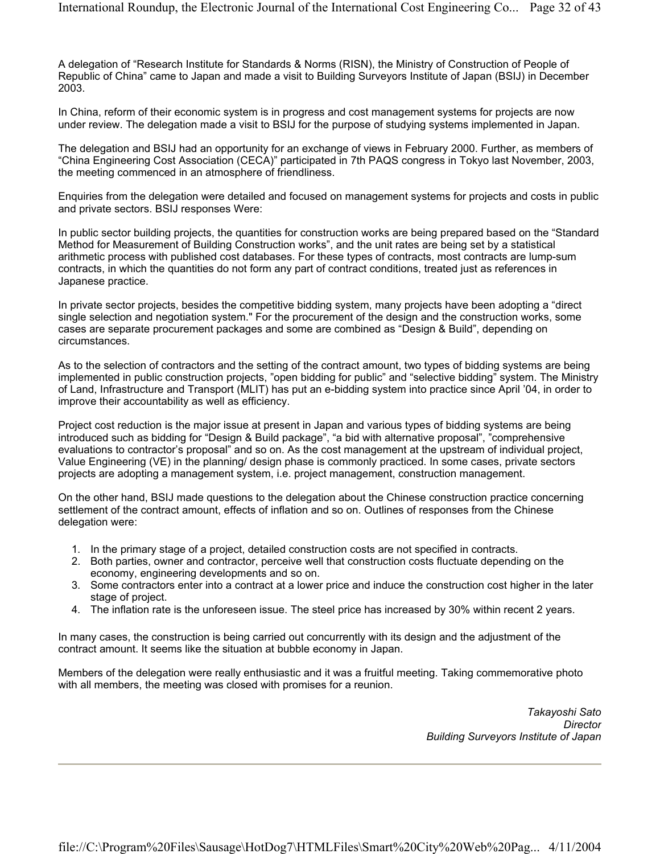A delegation of "Research Institute for Standards & Norms (RISN), the Ministry of Construction of People of Republic of China" came to Japan and made a visit to Building Surveyors Institute of Japan (BSIJ) in December 2003.

In China, reform of their economic system is in progress and cost management systems for projects are now under review. The delegation made a visit to BSIJ for the purpose of studying systems implemented in Japan.

The delegation and BSIJ had an opportunity for an exchange of views in February 2000. Further, as members of "China Engineering Cost Association (CECA)" participated in 7th PAQS congress in Tokyo last November, 2003, the meeting commenced in an atmosphere of friendliness.

Enquiries from the delegation were detailed and focused on management systems for projects and costs in public and private sectors. BSIJ responses Were:

In public sector building projects, the quantities for construction works are being prepared based on the "Standard Method for Measurement of Building Construction works", and the unit rates are being set by a statistical arithmetic process with published cost databases. For these types of contracts, most contracts are lump-sum contracts, in which the quantities do not form any part of contract conditions, treated just as references in Japanese practice.

In private sector projects, besides the competitive bidding system, many projects have been adopting a "direct single selection and negotiation system." For the procurement of the design and the construction works, some cases are separate procurement packages and some are combined as "Design & Build", depending on circumstances.

As to the selection of contractors and the setting of the contract amount, two types of bidding systems are being implemented in public construction projects, "open bidding for public" and "selective bidding" system. The Ministry of Land, Infrastructure and Transport (MLIT) has put an e-bidding system into practice since April '04, in order to improve their accountability as well as efficiency.

Project cost reduction is the major issue at present in Japan and various types of bidding systems are being introduced such as bidding for "Design & Build package", "a bid with alternative proposal", "comprehensive evaluations to contractor's proposal" and so on. As the cost management at the upstream of individual project, Value Engineering (VE) in the planning/ design phase is commonly practiced. In some cases, private sectors projects are adopting a management system, i.e. project management, construction management.

On the other hand, BSIJ made questions to the delegation about the Chinese construction practice concerning settlement of the contract amount, effects of inflation and so on. Outlines of responses from the Chinese delegation were:

- 1. In the primary stage of a project, detailed construction costs are not specified in contracts.
- 2. Both parties, owner and contractor, perceive well that construction costs fluctuate depending on the economy, engineering developments and so on.
- 3. Some contractors enter into a contract at a lower price and induce the construction cost higher in the later stage of project.
- 4. The inflation rate is the unforeseen issue. The steel price has increased by 30% within recent 2 years.

In many cases, the construction is being carried out concurrently with its design and the adjustment of the contract amount. It seems like the situation at bubble economy in Japan.

Members of the delegation were really enthusiastic and it was a fruitful meeting. Taking commemorative photo with all members, the meeting was closed with promises for a reunion.

> *Takayoshi Sato Director Building Surveyors Institute of Japan*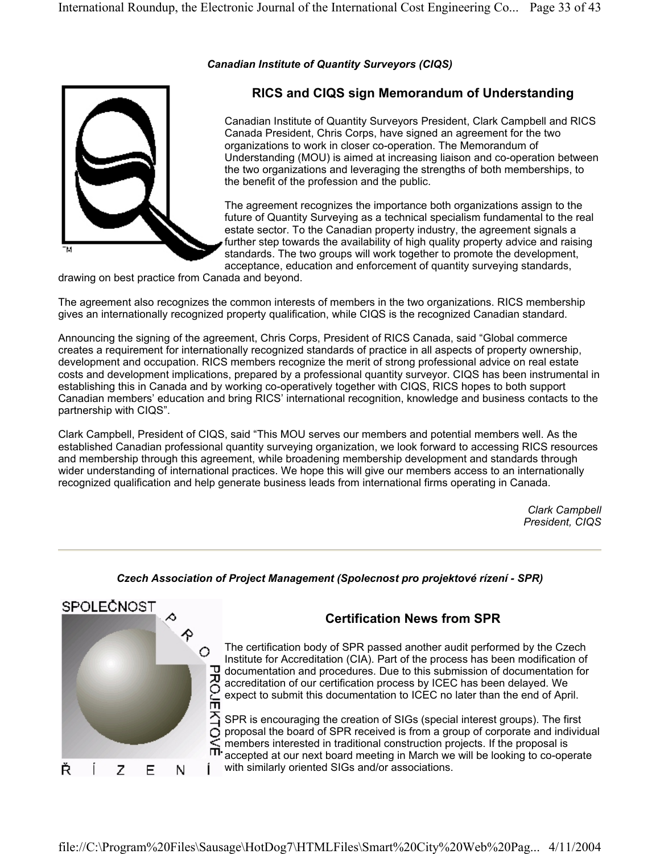*Canadian Institute of Quantity Surveyors (CIQS)* 



#### **RICS and CIQS sign Memorandum of Understanding**

Canadian Institute of Quantity Surveyors President, Clark Campbell and RICS Canada President, Chris Corps, have signed an agreement for the two organizations to work in closer co-operation. The Memorandum of Understanding (MOU) is aimed at increasing liaison and co-operation between the two organizations and leveraging the strengths of both memberships, to the benefit of the profession and the public.

The agreement recognizes the importance both organizations assign to the future of Quantity Surveying as a technical specialism fundamental to the real estate sector. To the Canadian property industry, the agreement signals a further step towards the availability of high quality property advice and raising standards. The two groups will work together to promote the development, acceptance, education and enforcement of quantity surveying standards,

drawing on best practice from Canada and beyond.

The agreement also recognizes the common interests of members in the two organizations. RICS membership gives an internationally recognized property qualification, while CIQS is the recognized Canadian standard.

Announcing the signing of the agreement, Chris Corps, President of RICS Canada, said "Global commerce creates a requirement for internationally recognized standards of practice in all aspects of property ownership, development and occupation. RICS members recognize the merit of strong professional advice on real estate costs and development implications, prepared by a professional quantity surveyor. CIQS has been instrumental in establishing this in Canada and by working co-operatively together with CIQS, RICS hopes to both support Canadian members' education and bring RICS' international recognition, knowledge and business contacts to the partnership with CIQS".

Clark Campbell, President of CIQS, said "This MOU serves our members and potential members well. As the established Canadian professional quantity surveying organization, we look forward to accessing RICS resources and membership through this agreement, while broadening membership development and standards through wider understanding of international practices. We hope this will give our members access to an internationally recognized qualification and help generate business leads from international firms operating in Canada.

> *Clark Campbell President, CIQS*



#### *Czech Association of Project Management (Spolecnost pro projektové rízení - SPR)*

#### **Certification News from SPR**

The certification body of SPR passed another audit performed by the Czech Institute for Accreditation (CIA). Part of the process has been modification of documentation and procedures. Due to this submission of documentation for accreditation of our certification process by ICEC has been delayed. We expect to submit this documentation to ICEC no later than the end of April.

SPR is encouraging the creation of SIGs (special interest groups). The first proposal the board of SPR received is from a group of corporate and individual members interested in traditional construction projects. If the proposal is accepted at our next board meeting in March we will be looking to co-operate with similarly oriented SIGs and/or associations.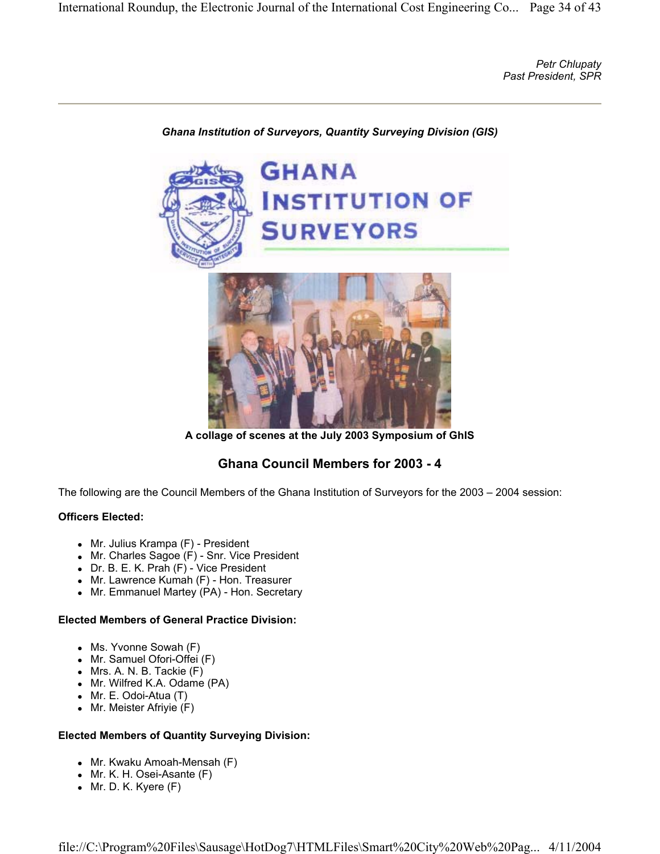*Petr Chlupaty Past President, SPR*



*Ghana Institution of Surveyors, Quantity Surveying Division (GIS)* 

**A collage of scenes at the July 2003 Symposium of GhIS**

#### **Ghana Council Members for 2003 - 4**

The following are the Council Members of the Ghana Institution of Surveyors for the 2003 – 2004 session:

#### **Officers Elected:**

- Mr. Julius Krampa (F) President
- Mr. Charles Sagoe (F) Snr. Vice President
- Dr. B. E. K. Prah (F) Vice President
- Mr. Lawrence Kumah (F) Hon. Treasurer
- Mr. Emmanuel Martey (PA) Hon. Secretary

#### **Elected Members of General Practice Division:**

- Ms. Yvonne Sowah  $(F)$
- Mr. Samuel Ofori-Offei (F)
- $\bullet$  Mrs. A. N. B. Tackie (F)
- Mr. Wilfred K.A. Odame (PA)
- $\bullet$  Mr. E. Odoi-Atua (T)
- Mr. Meister Afriyie (F)

#### **Elected Members of Quantity Surveying Division:**

- Mr. Kwaku Amoah-Mensah  $(F)$
- $\bullet$  Mr. K. H. Osei-Asante (F)
- $\bullet$  Mr. D. K. Kyere (F)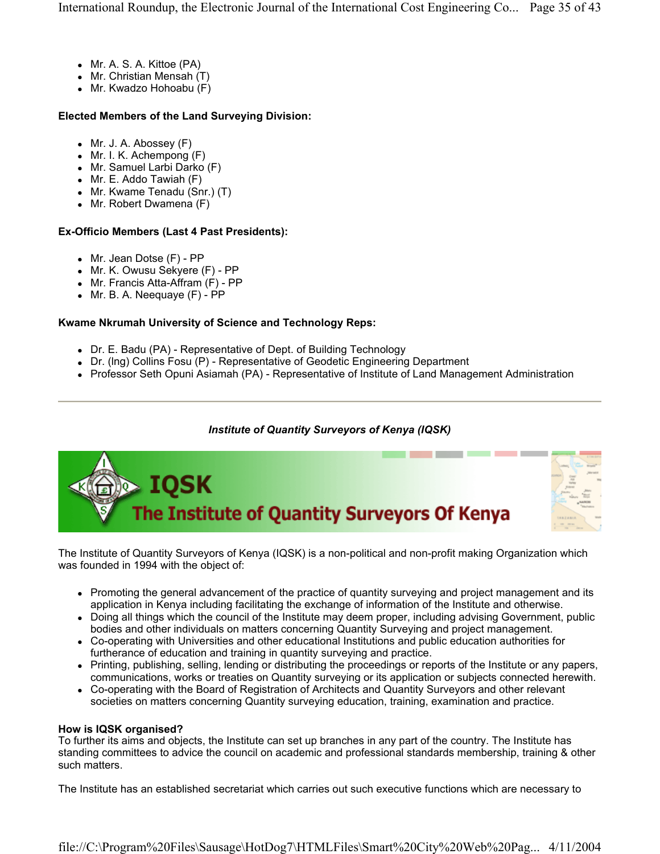- Mr. A. S. A. Kittoe (PA)
- Mr. Christian Mensah (T)
- Mr. Kwadzo Hohoabu (F)

#### **Elected Members of the Land Surveying Division:**

- Mr. J. A. Abossey  $(F)$
- $\bullet$  Mr. I. K. Achempong  $(F)$
- Mr. Samuel Larbi Darko (F)
- $\bullet$  Mr. E. Addo Tawiah (F)
- Mr. Kwame Tenadu (Snr.) (T)
- $\bullet$  Mr. Robert Dwamena (F)

#### **Ex-Officio Members (Last 4 Past Presidents):**

- $\bullet$  Mr. Jean Dotse (F) PP
- Mr. K. Owusu Sekyere (F) PP
- Mr. Francis Atta-Affram (F) PP
- $\bullet$  Mr. B. A. Neequaye (F) PP

#### **Kwame Nkrumah University of Science and Technology Reps:**

- Dr. E. Badu (PA) Representative of Dept. of Building Technology
- Dr. (Ing) Collins Fosu (P) Representative of Geodetic Engineering Department
- Professor Seth Opuni Asiamah (PA) Representative of Institute of Land Management Administration

#### *Institute of Quantity Surveyors of Kenya (IQSK)*



The Institute of Quantity Surveyors of Kenya (IQSK) is a non-political and non-profit making Organization which was founded in 1994 with the object of:

- Promoting the general advancement of the practice of quantity surveying and project management and its application in Kenya including facilitating the exchange of information of the Institute and otherwise.
- Doing all things which the council of the Institute may deem proper, including advising Government, public bodies and other individuals on matters concerning Quantity Surveying and project management.
- Co-operating with Universities and other educational Institutions and public education authorities for furtherance of education and training in quantity surveying and practice.
- Printing, publishing, selling, lending or distributing the proceedings or reports of the Institute or any papers, communications, works or treaties on Quantity surveying or its application or subjects connected herewith.
- Co-operating with the Board of Registration of Architects and Quantity Surveyors and other relevant societies on matters concerning Quantity surveying education, training, examination and practice.

#### **How is IQSK organised?**

To further its aims and objects, the Institute can set up branches in any part of the country. The Institute has standing committees to advice the council on academic and professional standards membership, training & other such matters.

The Institute has an established secretariat which carries out such executive functions which are necessary to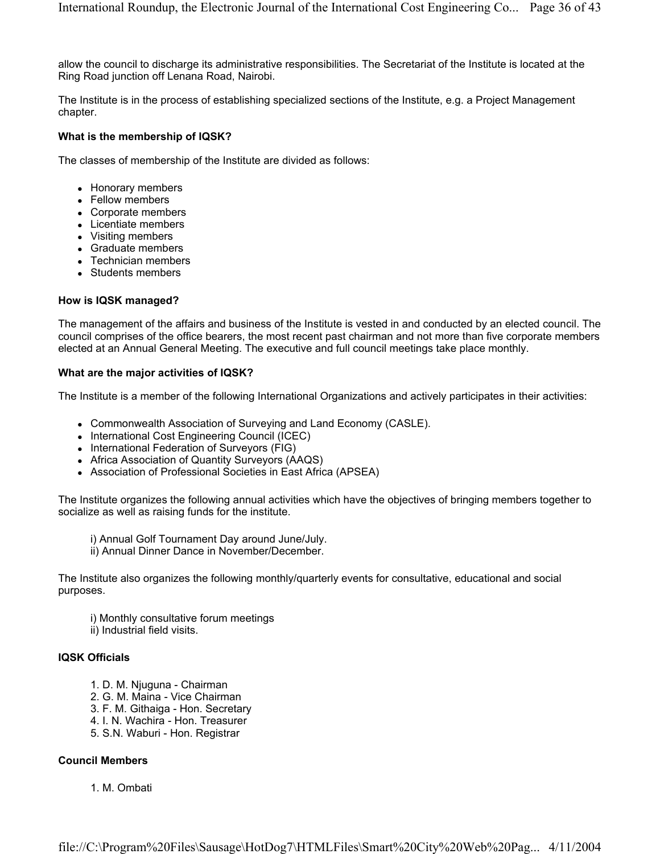allow the council to discharge its administrative responsibilities. The Secretariat of the Institute is located at the Ring Road junction off Lenana Road, Nairobi.

The Institute is in the process of establishing specialized sections of the Institute, e.g. a Project Management chapter.

#### **What is the membership of IQSK?**

The classes of membership of the Institute are divided as follows:

- Honorary members
- Fellow members
- Corporate members
- Licentiate members
- Visiting members
- Graduate members
- Technician members
- Students members

#### **How is IQSK managed?**

The management of the affairs and business of the Institute is vested in and conducted by an elected council. The council comprises of the office bearers, the most recent past chairman and not more than five corporate members elected at an Annual General Meeting. The executive and full council meetings take place monthly.

#### **What are the major activities of IQSK?**

The Institute is a member of the following International Organizations and actively participates in their activities:

- Commonwealth Association of Surveying and Land Economy (CASLE).
- International Cost Engineering Council (ICEC)
- International Federation of Surveyors (FIG)
- Africa Association of Quantity Surveyors (AAQS)
- Association of Professional Societies in East Africa (APSEA)

The Institute organizes the following annual activities which have the objectives of bringing members together to socialize as well as raising funds for the institute.

i) Annual Golf Tournament Day around June/July.

ii) Annual Dinner Dance in November/December.

The Institute also organizes the following monthly/quarterly events for consultative, educational and social purposes.

- i) Monthly consultative forum meetings
- ii) Industrial field visits.

#### **IQSK Officials**

- 1. D. M. Njuguna Chairman
- 2. G. M. Maina Vice Chairman
- 3. F. M. Githaiga Hon. Secretary
- 4. I. N. Wachira Hon. Treasurer
- 5. S.N. Waburi Hon. Registrar

#### **Council Members**

1. M. Ombati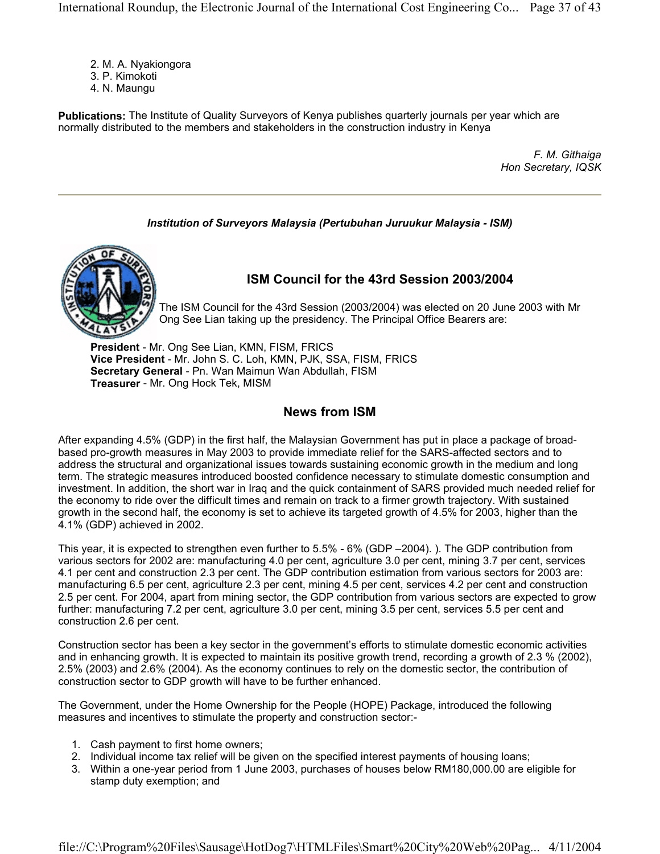- 2. M. A. Nyakiongora
- 3. P. Kimokoti
- 4. N. Maungu

**Publications:** The Institute of Quality Surveyors of Kenya publishes quarterly journals per year which are normally distributed to the members and stakeholders in the construction industry in Kenya

> *F. M. Githaiga Hon Secretary, IQSK*

#### *Institution of Surveyors Malaysia (Pertubuhan Juruukur Malaysia - ISM)*



#### **ISM Council for the 43rd Session 2003/2004**

The ISM Council for the 43rd Session (2003/2004) was elected on 20 June 2003 with Mr Ong See Lian taking up the presidency. The Principal Office Bearers are:

**President** - Mr. Ong See Lian, KMN, FISM, FRICS **Vice President** - Mr. John S. C. Loh, KMN, PJK, SSA, FISM, FRICS **Secretary General** - Pn. Wan Maimun Wan Abdullah, FISM **Treasurer** - Mr. Ong Hock Tek, MISM

#### **News from ISM**

After expanding 4.5% (GDP) in the first half, the Malaysian Government has put in place a package of broadbased pro-growth measures in May 2003 to provide immediate relief for the SARS-affected sectors and to address the structural and organizational issues towards sustaining economic growth in the medium and long term. The strategic measures introduced boosted confidence necessary to stimulate domestic consumption and investment. In addition, the short war in Iraq and the quick containment of SARS provided much needed relief for the economy to ride over the difficult times and remain on track to a firmer growth trajectory. With sustained growth in the second half, the economy is set to achieve its targeted growth of 4.5% for 2003, higher than the 4.1% (GDP) achieved in 2002.

This year, it is expected to strengthen even further to 5.5% - 6% (GDP –2004). ). The GDP contribution from various sectors for 2002 are: manufacturing 4.0 per cent, agriculture 3.0 per cent, mining 3.7 per cent, services 4.1 per cent and construction 2.3 per cent. The GDP contribution estimation from various sectors for 2003 are: manufacturing 6.5 per cent, agriculture 2.3 per cent, mining 4.5 per cent, services 4.2 per cent and construction 2.5 per cent. For 2004, apart from mining sector, the GDP contribution from various sectors are expected to grow further: manufacturing 7.2 per cent, agriculture 3.0 per cent, mining 3.5 per cent, services 5.5 per cent and construction 2.6 per cent.

Construction sector has been a key sector in the government's efforts to stimulate domestic economic activities and in enhancing growth. It is expected to maintain its positive growth trend, recording a growth of 2.3 % (2002), 2.5% (2003) and 2.6% (2004). As the economy continues to rely on the domestic sector, the contribution of construction sector to GDP growth will have to be further enhanced.

The Government, under the Home Ownership for the People (HOPE) Package, introduced the following measures and incentives to stimulate the property and construction sector:-

- 1. Cash payment to first home owners;
- 2. Individual income tax relief will be given on the specified interest payments of housing loans;
- 3. Within a one-year period from 1 June 2003, purchases of houses below RM180,000.00 are eligible for stamp duty exemption; and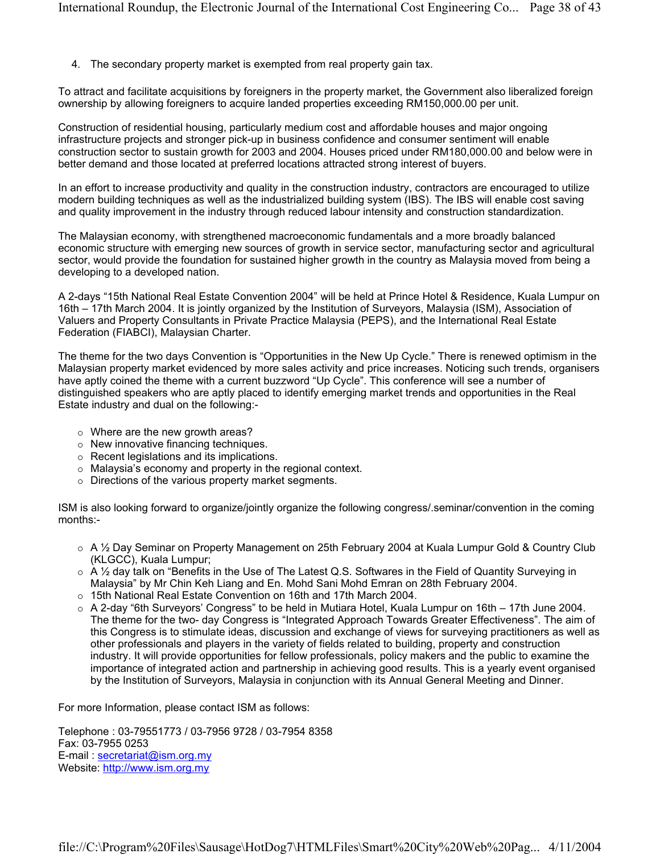4. The secondary property market is exempted from real property gain tax.

To attract and facilitate acquisitions by foreigners in the property market, the Government also liberalized foreign ownership by allowing foreigners to acquire landed properties exceeding RM150,000.00 per unit.

Construction of residential housing, particularly medium cost and affordable houses and major ongoing infrastructure projects and stronger pick-up in business confidence and consumer sentiment will enable construction sector to sustain growth for 2003 and 2004. Houses priced under RM180,000.00 and below were in better demand and those located at preferred locations attracted strong interest of buyers.

In an effort to increase productivity and quality in the construction industry, contractors are encouraged to utilize modern building techniques as well as the industrialized building system (IBS). The IBS will enable cost saving and quality improvement in the industry through reduced labour intensity and construction standardization.

The Malaysian economy, with strengthened macroeconomic fundamentals and a more broadly balanced economic structure with emerging new sources of growth in service sector, manufacturing sector and agricultural sector, would provide the foundation for sustained higher growth in the country as Malaysia moved from being a developing to a developed nation.

A 2-days "15th National Real Estate Convention 2004" will be held at Prince Hotel & Residence, Kuala Lumpur on 16th – 17th March 2004. It is jointly organized by the Institution of Surveyors, Malaysia (ISM), Association of Valuers and Property Consultants in Private Practice Malaysia (PEPS), and the International Real Estate Federation (FIABCI), Malaysian Charter.

The theme for the two days Convention is "Opportunities in the New Up Cycle." There is renewed optimism in the Malaysian property market evidenced by more sales activity and price increases. Noticing such trends, organisers have aptly coined the theme with a current buzzword "Up Cycle". This conference will see a number of distinguished speakers who are aptly placed to identify emerging market trends and opportunities in the Real Estate industry and dual on the following:-

- $\circ$  Where are the new growth areas?
- $\circ$  New innovative financing techniques.
- o Recent legislations and its implications.
- $\circ$  Malaysia's economy and property in the regional context.
- $\circ$  Directions of the various property market segments.

ISM is also looking forward to organize/jointly organize the following congress/.seminar/convention in the coming months:-

- A ½ Day Seminar on Property Management on 25th February 2004 at Kuala Lumpur Gold & Country Club (KLGCC), Kuala Lumpur;
- $\circ$  A  $\frac{1}{2}$  day talk on "Benefits in the Use of The Latest Q.S. Softwares in the Field of Quantity Surveying in Malaysia" by Mr Chin Keh Liang and En. Mohd Sani Mohd Emran on 28th February 2004.
- o 15th National Real Estate Convention on 16th and 17th March 2004.
- $\circ$  A 2-day "6th Surveyors' Congress" to be held in Mutiara Hotel, Kuala Lumpur on 16th 17th June 2004. The theme for the two- day Congress is "Integrated Approach Towards Greater Effectiveness". The aim of this Congress is to stimulate ideas, discussion and exchange of views for surveying practitioners as well as other professionals and players in the variety of fields related to building, property and construction industry. It will provide opportunities for fellow professionals, policy makers and the public to examine the importance of integrated action and partnership in achieving good results. This is a yearly event organised by the Institution of Surveyors, Malaysia in conjunction with its Annual General Meeting and Dinner.

For more Information, please contact ISM as follows:

Telephone : 03-79551773 / 03-7956 9728 / 03-7954 8358 Fax: 03-7955 0253 E-mail : secretariat@ism.org.my Website: http://www.ism.org.my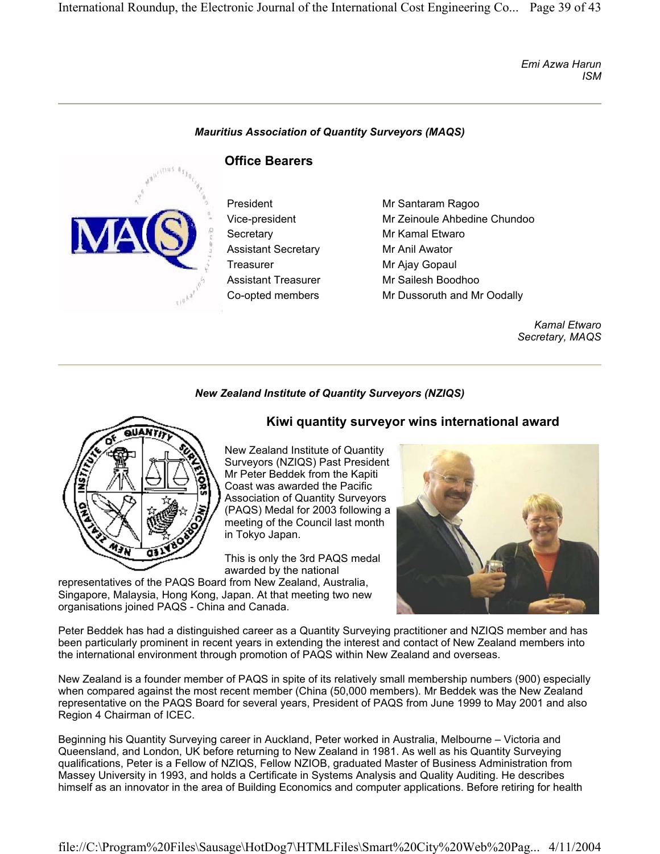*Emi Azwa Harun ISM*

#### *Mauritius Association of Quantity Surveyors (MAQS)*



#### **Office Bearers**

Secretary Mr Kamal Etwaro Assistant Secretary Mr Anil Awator Treasurer Mr Ajay Gopaul

President Mr Santaram Ragoo Vice-president Mr Zeinoule Ahbedine Chundoo Assistant Treasurer Mr Sailesh Boodhoo Co-opted members Mr Dussoruth and Mr Oodally

> *Kamal Etwaro Secretary, MAQS*

#### *New Zealand Institute of Quantity Surveyors (NZIQS)*



#### **Kiwi quantity surveyor wins international award**

New Zealand Institute of Quantity Surveyors (NZIQS) Past President Mr Peter Beddek from the Kapiti Coast was awarded the Pacific Association of Quantity Surveyors (PAQS) Medal for 2003 following a meeting of the Council last month in Tokyo Japan.

This is only the 3rd PAQS medal awarded by the national

representatives of the PAQS Board from New Zealand, Australia, Singapore, Malaysia, Hong Kong, Japan. At that meeting two new organisations joined PAQS - China and Canada.



Peter Beddek has had a distinguished career as a Quantity Surveying practitioner and NZIQS member and has been particularly prominent in recent years in extending the interest and contact of New Zealand members into the international environment through promotion of PAQS within New Zealand and overseas.

New Zealand is a founder member of PAQS in spite of its relatively small membership numbers (900) especially when compared against the most recent member (China (50,000 members). Mr Beddek was the New Zealand representative on the PAQS Board for several years, President of PAQS from June 1999 to May 2001 and also Region 4 Chairman of ICEC.

Beginning his Quantity Surveying career in Auckland, Peter worked in Australia, Melbourne – Victoria and Queensland, and London, UK before returning to New Zealand in 1981. As well as his Quantity Surveying qualifications, Peter is a Fellow of NZIQS, Fellow NZIOB, graduated Master of Business Administration from Massey University in 1993, and holds a Certificate in Systems Analysis and Quality Auditing. He describes himself as an innovator in the area of Building Economics and computer applications. Before retiring for health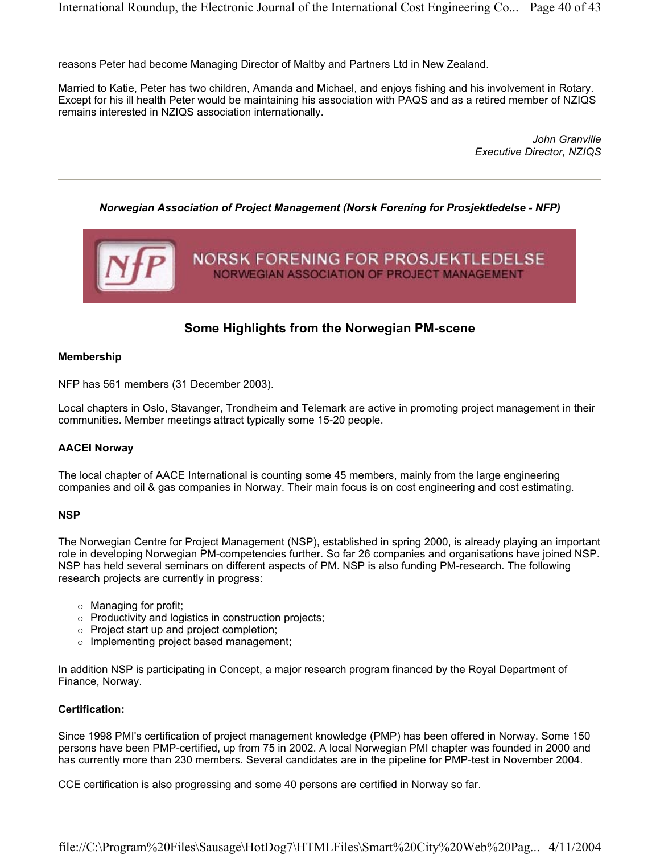reasons Peter had become Managing Director of Maltby and Partners Ltd in New Zealand.

Married to Katie, Peter has two children, Amanda and Michael, and enjoys fishing and his involvement in Rotary. Except for his ill health Peter would be maintaining his association with PAQS and as a retired member of NZIQS remains interested in NZIQS association internationally.

> *John Granville Executive Director, NZIQS*

#### *Norwegian Association of Project Management (Norsk Forening for Prosjektledelse - NFP)*



#### **Some Highlights from the Norwegian PM-scene**

#### **Membership**

NFP has 561 members (31 December 2003).

Local chapters in Oslo, Stavanger, Trondheim and Telemark are active in promoting project management in their communities. Member meetings attract typically some 15-20 people.

#### **AACEI Norway**

The local chapter of AACE International is counting some 45 members, mainly from the large engineering companies and oil & gas companies in Norway. Their main focus is on cost engineering and cost estimating.

#### **NSP**

The Norwegian Centre for Project Management (NSP), established in spring 2000, is already playing an important role in developing Norwegian PM-competencies further. So far 26 companies and organisations have joined NSP. NSP has held several seminars on different aspects of PM. NSP is also funding PM-research. The following research projects are currently in progress:

- $\circ$  Managing for profit;
- $\circ$  Productivity and logistics in construction projects;
- $\circ$  Project start up and project completion;
- $\circ$  Implementing project based management;

In addition NSP is participating in Concept, a major research program financed by the Royal Department of Finance, Norway.

#### **Certification:**

Since 1998 PMI's certification of project management knowledge (PMP) has been offered in Norway. Some 150 persons have been PMP-certified, up from 75 in 2002. A local Norwegian PMI chapter was founded in 2000 and has currently more than 230 members. Several candidates are in the pipeline for PMP-test in November 2004.

CCE certification is also progressing and some 40 persons are certified in Norway so far.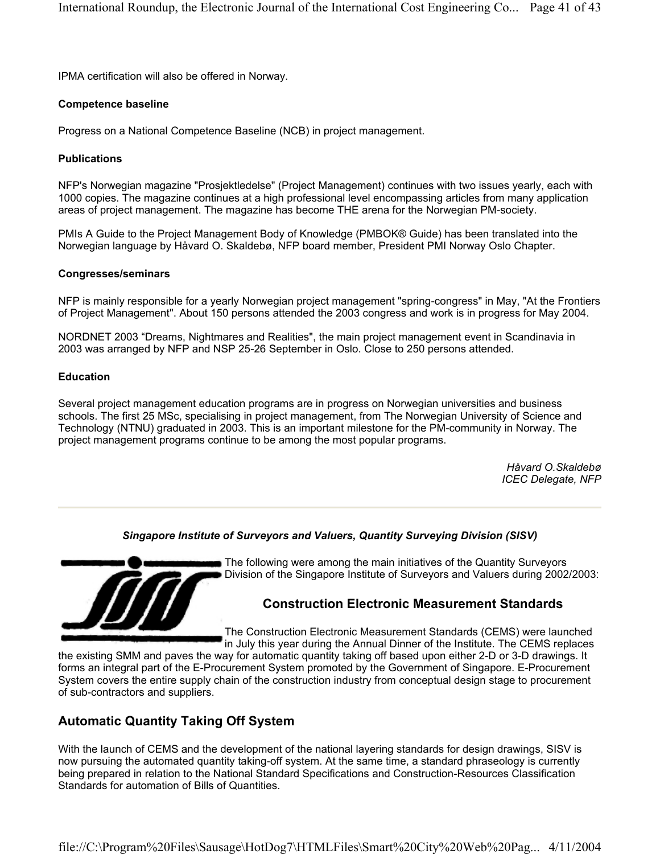IPMA certification will also be offered in Norway.

#### **Competence baseline**

Progress on a National Competence Baseline (NCB) in project management.

#### **Publications**

NFP's Norwegian magazine "Prosjektledelse" (Project Management) continues with two issues yearly, each with 1000 copies. The magazine continues at a high professional level encompassing articles from many application areas of project management. The magazine has become THE arena for the Norwegian PM-society.

PMIs A Guide to the Project Management Body of Knowledge (PMBOK® Guide) has been translated into the Norwegian language by Håvard O. Skaldebø, NFP board member, President PMI Norway Oslo Chapter.

#### **Congresses/seminars**

NFP is mainly responsible for a yearly Norwegian project management "spring-congress" in May, "At the Frontiers of Project Management". About 150 persons attended the 2003 congress and work is in progress for May 2004.

NORDNET 2003 "Dreams, Nightmares and Realities", the main project management event in Scandinavia in 2003 was arranged by NFP and NSP 25-26 September in Oslo. Close to 250 persons attended.

#### **Education**

Several project management education programs are in progress on Norwegian universities and business schools. The first 25 MSc, specialising in project management, from The Norwegian University of Science and Technology (NTNU) graduated in 2003. This is an important milestone for the PM-community in Norway. The project management programs continue to be among the most popular programs.

> *Håvard O.Skaldebø ICEC Delegate, NFP*

#### *Singapore Institute of Surveyors and Valuers, Quantity Surveying Division (SISV)*



The following were among the main initiatives of the Quantity Surveyors Division of the Singapore Institute of Surveyors and Valuers during 2002/2003:

#### **Construction Electronic Measurement Standards**

The Construction Electronic Measurement Standards (CEMS) were launched in July this year during the Annual Dinner of the Institute. The CEMS replaces

the existing SMM and paves the way for automatic quantity taking off based upon either 2-D or 3-D drawings. It forms an integral part of the E-Procurement System promoted by the Government of Singapore. E-Procurement System covers the entire supply chain of the construction industry from conceptual design stage to procurement of sub-contractors and suppliers.

#### **Automatic Quantity Taking Off System**

With the launch of CEMS and the development of the national layering standards for design drawings, SISV is now pursuing the automated quantity taking-off system. At the same time, a standard phraseology is currently being prepared in relation to the National Standard Specifications and Construction-Resources Classification Standards for automation of Bills of Quantities.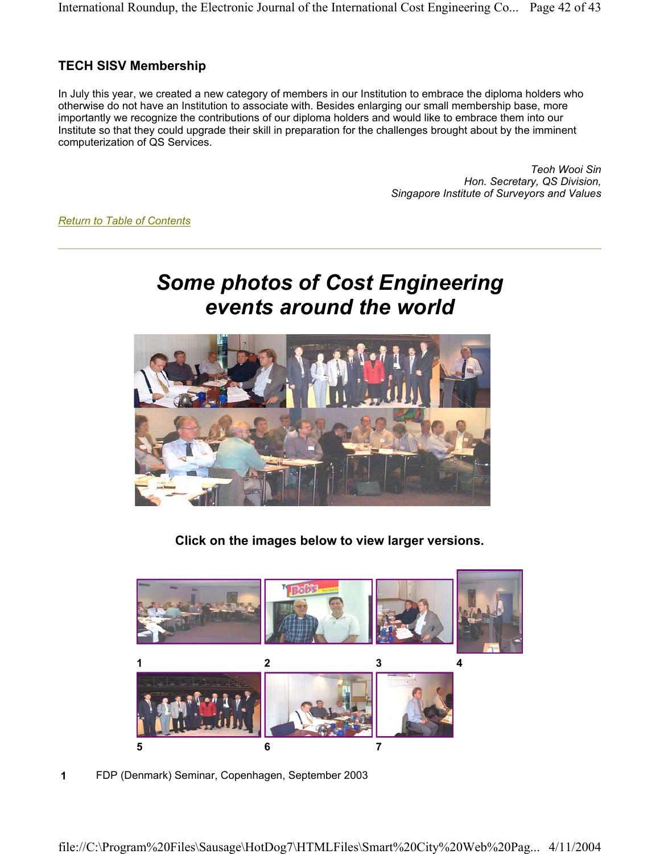## **TECH SISV Membership**

In July this year, we created a new category of members in our Institution to embrace the diploma holders who otherwise do not have an Institution to associate with. Besides enlarging our small membership base, more importantly we recognize the contributions of our diploma holders and would like to embrace them into our Institute so that they could upgrade their skill in preparation for the challenges brought about by the imminent computerization of QS Services.

> *Teoh Wooi Sin Hon. Secretary, QS Division, Singapore Institute of Surveyors and Values*

*Return to Table of Contents*

# *Some photos of Cost Engineering events around the world*



**Click on the images below to view larger versions.** 



**1** FDP (Denmark) Seminar, Copenhagen, September 2003